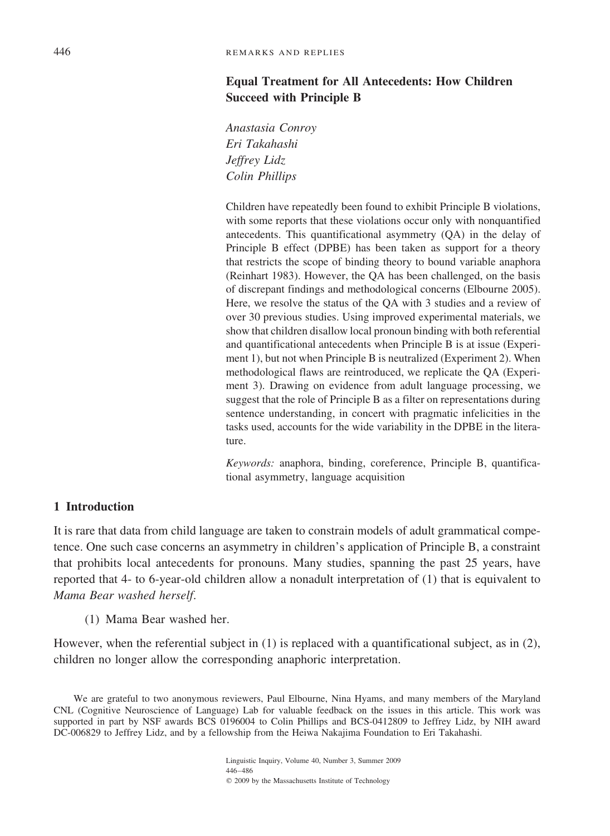# **Equal Treatment for All Antecedents: How Children Succeed with Principle B**

*Anastasia Conroy Eri Takahashi Jeffrey Lidz Colin Phillips*

Children have repeatedly been found to exhibit Principle B violations, with some reports that these violations occur only with nonquantified antecedents. This quantificational asymmetry (QA) in the delay of Principle B effect (DPBE) has been taken as support for a theory that restricts the scope of binding theory to bound variable anaphora (Reinhart 1983). However, the QA has been challenged, on the basis of discrepant findings and methodological concerns (Elbourne 2005). Here, we resolve the status of the QA with 3 studies and a review of over 30 previous studies. Using improved experimental materials, we show that children disallow local pronoun binding with both referential and quantificational antecedents when Principle B is at issue (Experiment 1), but not when Principle B is neutralized (Experiment 2). When methodological flaws are reintroduced, we replicate the QA (Experiment 3). Drawing on evidence from adult language processing, we suggest that the role of Principle B as a filter on representations during sentence understanding, in concert with pragmatic infelicities in the tasks used, accounts for the wide variability in the DPBE in the literature.

*Keywords:* anaphora, binding, coreference, Principle B, quantificational asymmetry, language acquisition

# **1 Introduction**

It is rare that data from child language are taken to constrain models of adult grammatical competence. One such case concerns an asymmetry in children's application of Principle B, a constraint that prohibits local antecedents for pronouns. Many studies, spanning the past 25 years, have reported that 4- to 6-year-old children allow a nonadult interpretation of (1) that is equivalent to *Mama Bear washed herself*.

(1) Mama Bear washed her.

However, when the referential subject in (1) is replaced with a quantificational subject, as in (2), children no longer allow the corresponding anaphoric interpretation.

We are grateful to two anonymous reviewers, Paul Elbourne, Nina Hyams, and many members of the Maryland CNL (Cognitive Neuroscience of Language) Lab for valuable feedback on the issues in this article. This work was supported in part by NSF awards BCS 0196004 to Colin Phillips and BCS-0412809 to Jeffrey Lidz, by NIH award DC-006829 to Jeffrey Lidz, and by a fellowship from the Heiwa Nakajima Foundation to Eri Takahashi.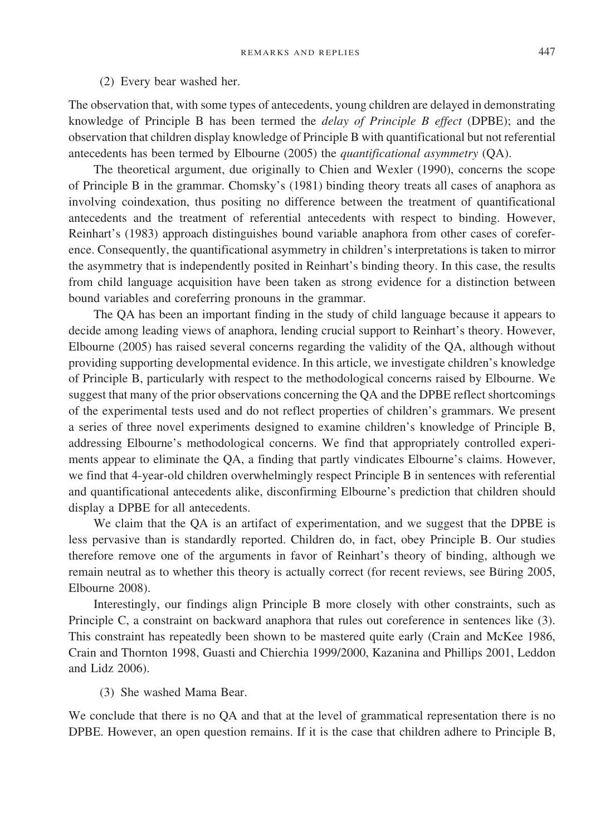#### (2) Every bear washed her.

The observation that, with some types of antecedents, young children are delayed in demonstrating knowledge of Principle B has been termed the *delay of Principle B effect* (DPBE); and the observation that children display knowledge of Principle B with quantificational but not referential antecedents has been termed by Elbourne (2005) the *quantificational asymmetry* (QA).

The theoretical argument, due originally to Chien and Wexler (1990), concerns the scope of Principle B in the grammar. Chomsky's (1981) binding theory treats all cases of anaphora as involving coindexation, thus positing no difference between the treatment of quantificational antecedents and the treatment of referential antecedents with respect to binding. However, Reinhart's (1983) approach distinguishes bound variable anaphora from other cases of coreference. Consequently, the quantificational asymmetry in children's interpretations is taken to mirror the asymmetry that is independently posited in Reinhart's binding theory. In this case, the results from child language acquisition have been taken as strong evidence for a distinction between bound variables and coreferring pronouns in the grammar.

The QA has been an important finding in the study of child language because it appears to decide among leading views of anaphora, lending crucial support to Reinhart's theory. However, Elbourne (2005) has raised several concerns regarding the validity of the QA, although without providing supporting developmental evidence. In this article, we investigate children's knowledge of Principle B, particularly with respect to the methodological concerns raised by Elbourne. We suggest that many of the prior observations concerning the QA and the DPBE reflect shortcomings of the experimental tests used and do not reflect properties of children's grammars. We present a series of three novel experiments designed to examine children's knowledge of Principle B, addressing Elbourne's methodological concerns. We find that appropriately controlled experiments appear to eliminate the QA, a finding that partly vindicates Elbourne's claims. However, we find that 4-year-old children overwhelmingly respect Principle B in sentences with referential and quantificational antecedents alike, disconfirming Elbourne's prediction that children should display a DPBE for all antecedents.

We claim that the QA is an artifact of experimentation, and we suggest that the DPBE is less pervasive than is standardly reported. Children do, in fact, obey Principle B. Our studies therefore remove one of the arguments in favor of Reinhart's theory of binding, although we remain neutral as to whether this theory is actually correct (for recent reviews, see Büring 2005, Elbourne 2008).

Interestingly, our findings align Principle B more closely with other constraints, such as Principle C, a constraint on backward anaphora that rules out coreference in sentences like (3). This constraint has repeatedly been shown to be mastered quite early (Crain and McKee 1986, Crain and Thornton 1998, Guasti and Chierchia 1999/2000, Kazanina and Phillips 2001, Leddon and Lidz 2006).

(3) She washed Mama Bear.

We conclude that there is no QA and that at the level of grammatical representation there is no DPBE. However, an open question remains. If it is the case that children adhere to Principle B,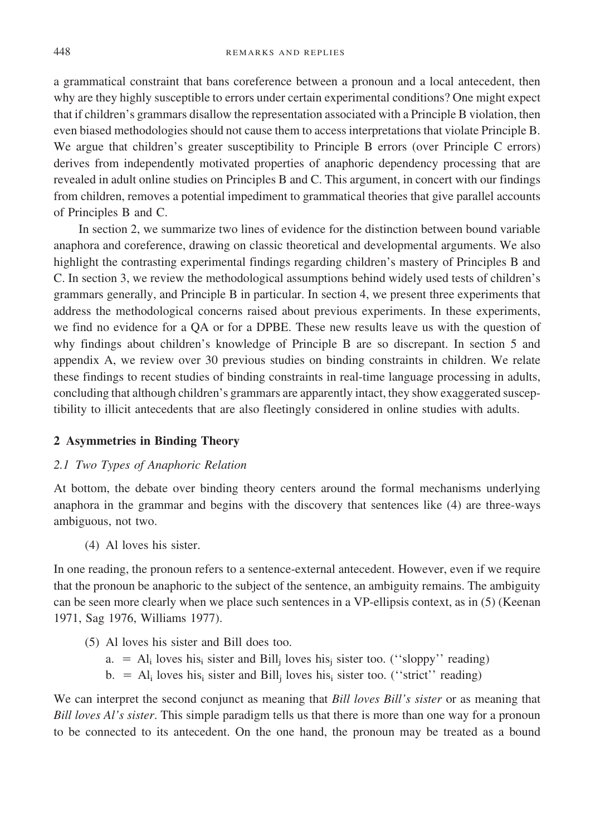a grammatical constraint that bans coreference between a pronoun and a local antecedent, then why are they highly susceptible to errors under certain experimental conditions? One might expect that if children's grammars disallow the representation associated with a Principle B violation, then even biased methodologies should not cause them to access interpretations that violate Principle B. We argue that children's greater susceptibility to Principle B errors (over Principle C errors) derives from independently motivated properties of anaphoric dependency processing that are revealed in adult online studies on Principles B and C. This argument, in concert with our findings from children, removes a potential impediment to grammatical theories that give parallel accounts of Principles B and C.

In section 2, we summarize two lines of evidence for the distinction between bound variable anaphora and coreference, drawing on classic theoretical and developmental arguments. We also highlight the contrasting experimental findings regarding children's mastery of Principles B and C. In section 3, we review the methodological assumptions behind widely used tests of children's grammars generally, and Principle B in particular. In section 4, we present three experiments that address the methodological concerns raised about previous experiments. In these experiments, we find no evidence for a QA or for a DPBE. These new results leave us with the question of why findings about children's knowledge of Principle B are so discrepant. In section 5 and appendix A, we review over 30 previous studies on binding constraints in children. We relate these findings to recent studies of binding constraints in real-time language processing in adults, concluding that although children's grammars are apparently intact, they show exaggerated susceptibility to illicit antecedents that are also fleetingly considered in online studies with adults.

### **2 Asymmetries in Binding Theory**

#### *2.1 Two Types of Anaphoric Relation*

At bottom, the debate over binding theory centers around the formal mechanisms underlying anaphora in the grammar and begins with the discovery that sentences like (4) are three-ways ambiguous, not two.

(4) Al loves his sister.

In one reading, the pronoun refers to a sentence-external antecedent. However, even if we require that the pronoun be anaphoric to the subject of the sentence, an ambiguity remains. The ambiguity can be seen more clearly when we place such sentences in a VP-ellipsis context, as in (5) (Keenan 1971, Sag 1976, Williams 1977).

- (5) Al loves his sister and Bill does too.
	- a.  $=$  Al<sub>i</sub> loves his<sub>i</sub> sister and Bill<sub>i</sub> loves his<sub>i</sub> sister too. ("sloppy" reading)
	- b.  $=$  Al<sub>i</sub> loves his<sub>i</sub> sister and Bill<sub>i</sub> loves his<sub>i</sub> sister too. ("strict" reading)

We can interpret the second conjunct as meaning that *Bill loves Bill's sister* or as meaning that *Bill loves Al's sister*. This simple paradigm tells us that there is more than one way for a pronoun to be connected to its antecedent. On the one hand, the pronoun may be treated as a bound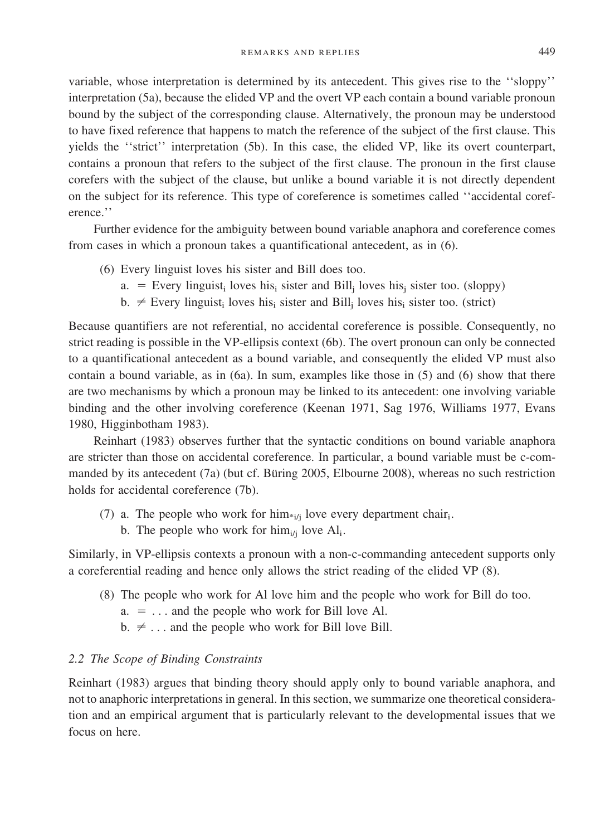variable, whose interpretation is determined by its antecedent. This gives rise to the ''sloppy'' interpretation (5a), because the elided VP and the overt VP each contain a bound variable pronoun bound by the subject of the corresponding clause. Alternatively, the pronoun may be understood to have fixed reference that happens to match the reference of the subject of the first clause. This yields the ''strict'' interpretation (5b). In this case, the elided VP, like its overt counterpart, contains a pronoun that refers to the subject of the first clause. The pronoun in the first clause corefers with the subject of the clause, but unlike a bound variable it is not directly dependent on the subject for its reference. This type of coreference is sometimes called ''accidental coreference.''

Further evidence for the ambiguity between bound variable anaphora and coreference comes from cases in which a pronoun takes a quantificational antecedent, as in (6).

- (6) Every linguist loves his sister and Bill does too.
	- a. = Every linguist<sub>i</sub> loves his<sub>i</sub> sister and Bill<sub>i</sub> loves his<sub>i</sub> sister too. (sloppy)
	- b.  $\neq$  Every linguist<sub>i</sub> loves his<sub>i</sub> sister and Bill<sub>j</sub> loves his<sub>i</sub> sister too. (strict)

Because quantifiers are not referential, no accidental coreference is possible. Consequently, no strict reading is possible in the VP-ellipsis context (6b). The overt pronoun can only be connected to a quantificational antecedent as a bound variable, and consequently the elided VP must also contain a bound variable, as in (6a). In sum, examples like those in (5) and (6) show that there are two mechanisms by which a pronoun may be linked to its antecedent: one involving variable binding and the other involving coreference (Keenan 1971, Sag 1976, Williams 1977, Evans 1980, Higginbotham 1983).

Reinhart (1983) observes further that the syntactic conditions on bound variable anaphora are stricter than those on accidental coreference. In particular, a bound variable must be c-commanded by its antecedent (7a) (but cf. Büring 2005, Elbourne 2008), whereas no such restriction holds for accidental coreference (7b).

- (7) a. The people who work for him $_{i,j}$  love every department chair.
	- b. The people who work for  $\lim_{i \to i}$  love Al<sub>i</sub>.

Similarly, in VP-ellipsis contexts a pronoun with a non-c-commanding antecedent supports only a coreferential reading and hence only allows the strict reading of the elided VP (8).

- (8) The people who work for Al love him and the people who work for Bill do too.
	- $a. = ...$  and the people who work for Bill love Al.
	- $\mathbf{b} \neq \dots$  and the people who work for Bill love Bill.

# *2.2 The Scope of Binding Constraints*

Reinhart (1983) argues that binding theory should apply only to bound variable anaphora, and not to anaphoric interpretations in general. In this section, we summarize one theoretical consideration and an empirical argument that is particularly relevant to the developmental issues that we focus on here.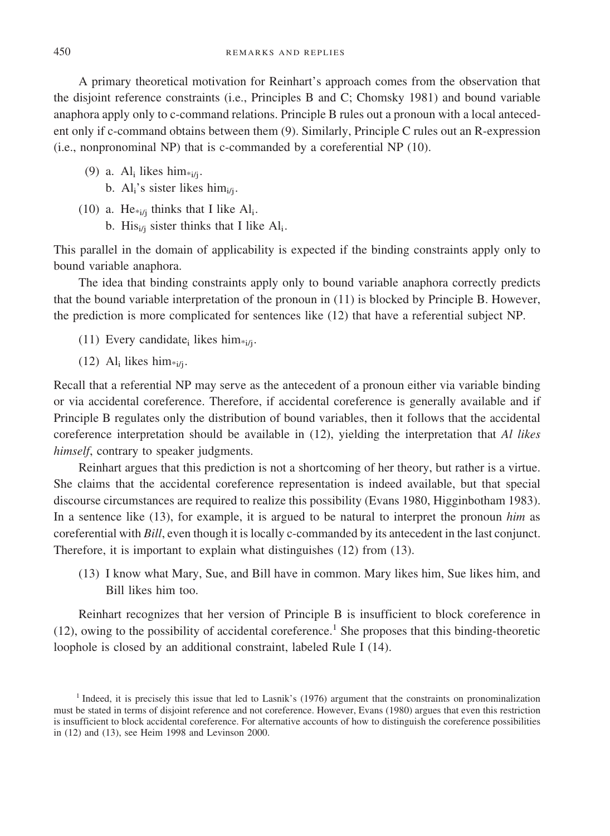A primary theoretical motivation for Reinhart's approach comes from the observation that the disjoint reference constraints (i.e., Principles B and C; Chomsky 1981) and bound variable anaphora apply only to c-command relations. Principle B rules out a pronoun with a local antecedent only if c-command obtains between them (9). Similarly, Principle C rules out an R-expression (i.e., nonpronominal NP) that is c-commanded by a coreferential NP (10).

- (9) a. Al<sub>i</sub> likes him $_{i/i}$ .
	- b. Al<sub>i</sub>'s sister likes him<sub>i/i</sub>.
- (10) a. He $*_{i/j}$  thinks that I like Al<sub>i</sub>.
	- b. His<sub>i/i</sub> sister thinks that I like  $Al_i$ .

This parallel in the domain of applicability is expected if the binding constraints apply only to bound variable anaphora.

The idea that binding constraints apply only to bound variable anaphora correctly predicts that the bound variable interpretation of the pronoun in (11) is blocked by Principle B. However, the prediction is more complicated for sentences like (12) that have a referential subject NP.

- (11) Every candidate<sub>i</sub> likes him $_{i/i}$ .
- (12) Al<sub>i</sub> likes him $_{i/i}$ .

Recall that a referential NP may serve as the antecedent of a pronoun either via variable binding or via accidental coreference. Therefore, if accidental coreference is generally available and if Principle B regulates only the distribution of bound variables, then it follows that the accidental coreference interpretation should be available in (12), yielding the interpretation that *Al likes himself*, contrary to speaker judgments.

Reinhart argues that this prediction is not a shortcoming of her theory, but rather is a virtue. She claims that the accidental coreference representation is indeed available, but that special discourse circumstances are required to realize this possibility (Evans 1980, Higginbotham 1983). In a sentence like (13), for example, it is argued to be natural to interpret the pronoun *him* as coreferential with *Bill*, even though it is locally c-commanded by its antecedent in the last conjunct. Therefore, it is important to explain what distinguishes (12) from (13).

(13) I know what Mary, Sue, and Bill have in common. Mary likes him, Sue likes him, and Bill likes him too.

Reinhart recognizes that her version of Principle B is insufficient to block coreference in  $(12)$ , owing to the possibility of accidental coreference.<sup>1</sup> She proposes that this binding-theoretic loophole is closed by an additional constraint, labeled Rule I (14).

<sup>&</sup>lt;sup>1</sup> Indeed, it is precisely this issue that led to Lasnik's (1976) argument that the constraints on pronominalization must be stated in terms of disjoint reference and not coreference. However, Evans (1980) argues that even this restriction is insufficient to block accidental coreference. For alternative accounts of how to distinguish the coreference possibilities in (12) and (13), see Heim 1998 and Levinson 2000.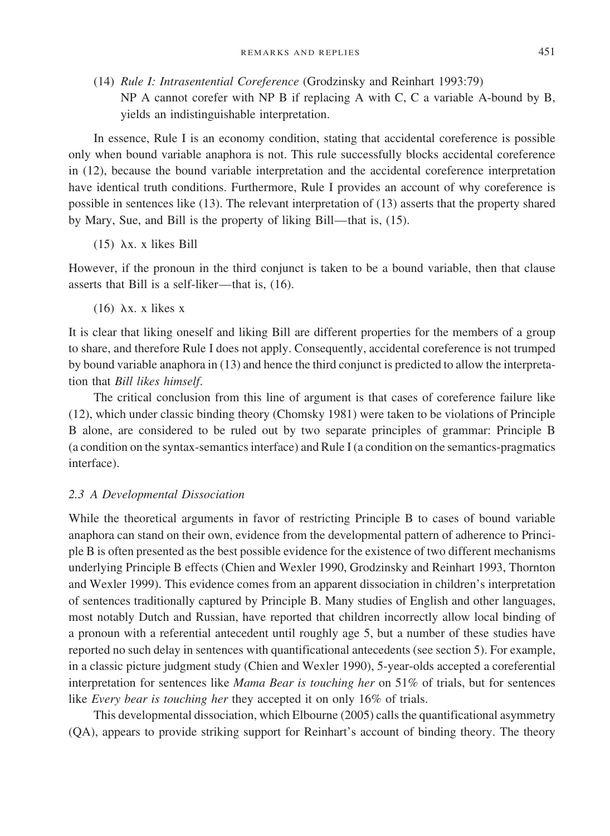(14) *Rule I: Intrasentential Coreference* (Grodzinsky and Reinhart 1993:79) NP A cannot corefer with NP B if replacing A with C, C a variable A-bound by B, yields an indistinguishable interpretation.

In essence, Rule I is an economy condition, stating that accidental coreference is possible only when bound variable anaphora is not. This rule successfully blocks accidental coreference in (12), because the bound variable interpretation and the accidental coreference interpretation have identical truth conditions. Furthermore, Rule I provides an account of why coreference is possible in sentences like (13). The relevant interpretation of (13) asserts that the property shared by Mary, Sue, and Bill is the property of liking Bill—that is, (15).

 $(15)$   $\lambda$ x. x likes Bill

However, if the pronoun in the third conjunct is taken to be a bound variable, then that clause asserts that Bill is a self-liker—that is, (16).

(16)  $\lambda$ x. x likes x

It is clear that liking oneself and liking Bill are different properties for the members of a group to share, and therefore Rule I does not apply. Consequently, accidental coreference is not trumped by bound variable anaphora in (13) and hence the third conjunct is predicted to allow the interpretation that *Bill likes himself*.

The critical conclusion from this line of argument is that cases of coreference failure like (12), which under classic binding theory (Chomsky 1981) were taken to be violations of Principle B alone, are considered to be ruled out by two separate principles of grammar: Principle B (a condition on the syntax-semantics interface) and Rule I (a condition on the semantics-pragmatics interface).

## *2.3 A Developmental Dissociation*

While the theoretical arguments in favor of restricting Principle B to cases of bound variable anaphora can stand on their own, evidence from the developmental pattern of adherence to Principle B is often presented as the best possible evidence for the existence of two different mechanisms underlying Principle B effects (Chien and Wexler 1990, Grodzinsky and Reinhart 1993, Thornton and Wexler 1999). This evidence comes from an apparent dissociation in children's interpretation of sentences traditionally captured by Principle B. Many studies of English and other languages, most notably Dutch and Russian, have reported that children incorrectly allow local binding of a pronoun with a referential antecedent until roughly age 5, but a number of these studies have reported no such delay in sentences with quantificational antecedents (see section 5). For example, in a classic picture judgment study (Chien and Wexler 1990), 5-year-olds accepted a coreferential interpretation for sentences like *Mama Bear is touching her* on 51% of trials, but for sentences like *Every bear is touching her* they accepted it on only 16% of trials.

This developmental dissociation, which Elbourne (2005) calls the quantificational asymmetry (QA), appears to provide striking support for Reinhart's account of binding theory. The theory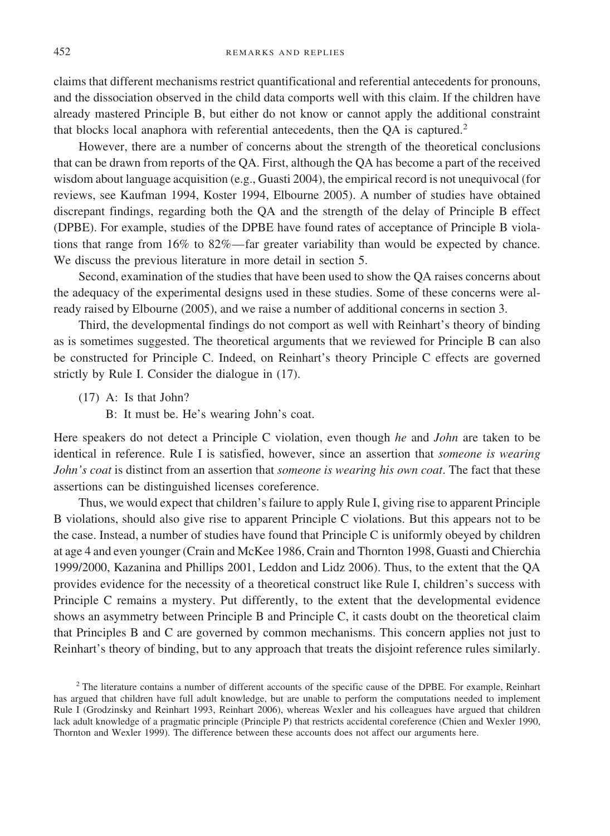claims that different mechanisms restrict quantificational and referential antecedents for pronouns, and the dissociation observed in the child data comports well with this claim. If the children have already mastered Principle B, but either do not know or cannot apply the additional constraint that blocks local anaphora with referential antecedents, then the QA is captured.<sup>2</sup>

However, there are a number of concerns about the strength of the theoretical conclusions that can be drawn from reports of the QA. First, although the QA has become a part of the received wisdom about language acquisition (e.g., Guasti 2004), the empirical record is not unequivocal (for reviews, see Kaufman 1994, Koster 1994, Elbourne 2005). A number of studies have obtained discrepant findings, regarding both the QA and the strength of the delay of Principle B effect (DPBE). For example, studies of the DPBE have found rates of acceptance of Principle B violations that range from 16% to 82%—far greater variability than would be expected by chance. We discuss the previous literature in more detail in section 5.

Second, examination of the studies that have been used to show the QA raises concerns about the adequacy of the experimental designs used in these studies. Some of these concerns were already raised by Elbourne (2005), and we raise a number of additional concerns in section 3.

Third, the developmental findings do not comport as well with Reinhart's theory of binding as is sometimes suggested. The theoretical arguments that we reviewed for Principle B can also be constructed for Principle C. Indeed, on Reinhart's theory Principle C effects are governed strictly by Rule I. Consider the dialogue in (17).

- (17) A: Is that John?
	- B: It must be. He's wearing John's coat.

Here speakers do not detect a Principle C violation, even though *he* and *John* are taken to be identical in reference. Rule I is satisfied, however, since an assertion that *someone is wearing John's coat* is distinct from an assertion that *someone is wearing his own coat*. The fact that these assertions can be distinguished licenses coreference.

Thus, we would expect that children's failure to apply Rule I, giving rise to apparent Principle B violations, should also give rise to apparent Principle C violations. But this appears not to be the case. Instead, a number of studies have found that Principle C is uniformly obeyed by children at age 4 and even younger (Crain and McKee 1986, Crain and Thornton 1998, Guasti and Chierchia 1999/2000, Kazanina and Phillips 2001, Leddon and Lidz 2006). Thus, to the extent that the QA provides evidence for the necessity of a theoretical construct like Rule I, children's success with Principle C remains a mystery. Put differently, to the extent that the developmental evidence shows an asymmetry between Principle B and Principle C, it casts doubt on the theoretical claim that Principles B and C are governed by common mechanisms. This concern applies not just to Reinhart's theory of binding, but to any approach that treats the disjoint reference rules similarly.

<sup>&</sup>lt;sup>2</sup> The literature contains a number of different accounts of the specific cause of the DPBE. For example, Reinhart has argued that children have full adult knowledge, but are unable to perform the computations needed to implement Rule I (Grodzinsky and Reinhart 1993, Reinhart 2006), whereas Wexler and his colleagues have argued that children lack adult knowledge of a pragmatic principle (Principle P) that restricts accidental coreference (Chien and Wexler 1990, Thornton and Wexler 1999). The difference between these accounts does not affect our arguments here.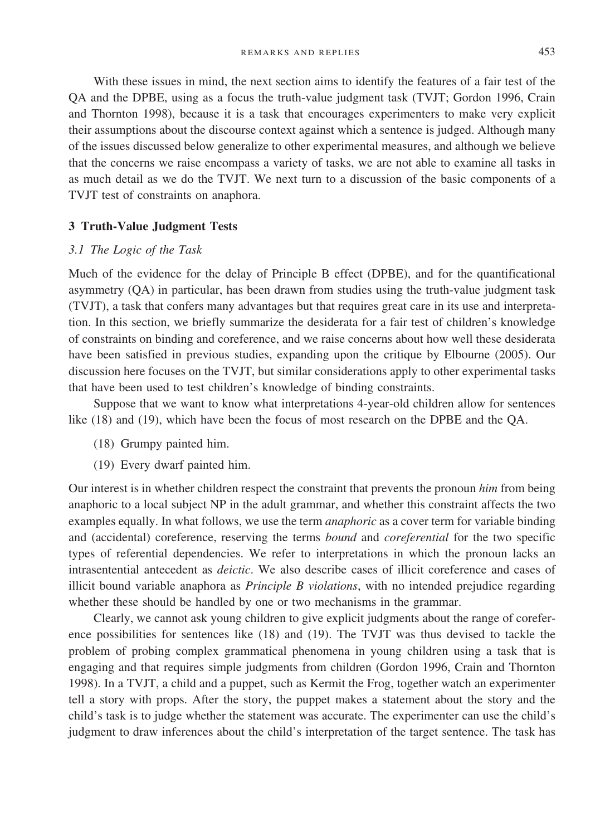With these issues in mind, the next section aims to identify the features of a fair test of the QA and the DPBE, using as a focus the truth-value judgment task (TVJT; Gordon 1996, Crain and Thornton 1998), because it is a task that encourages experimenters to make very explicit their assumptions about the discourse context against which a sentence is judged. Although many of the issues discussed below generalize to other experimental measures, and although we believe that the concerns we raise encompass a variety of tasks, we are not able to examine all tasks in as much detail as we do the TVJT. We next turn to a discussion of the basic components of a TVJT test of constraints on anaphora.

## **3 Truth-Value Judgment Tests**

#### *3.1 The Logic of the Task*

Much of the evidence for the delay of Principle B effect (DPBE), and for the quantificational asymmetry (QA) in particular, has been drawn from studies using the truth-value judgment task (TVJT), a task that confers many advantages but that requires great care in its use and interpretation. In this section, we briefly summarize the desiderata for a fair test of children's knowledge of constraints on binding and coreference, and we raise concerns about how well these desiderata have been satisfied in previous studies, expanding upon the critique by Elbourne (2005). Our discussion here focuses on the TVJT, but similar considerations apply to other experimental tasks that have been used to test children's knowledge of binding constraints.

Suppose that we want to know what interpretations 4-year-old children allow for sentences like (18) and (19), which have been the focus of most research on the DPBE and the QA.

- (18) Grumpy painted him.
- (19) Every dwarf painted him.

Our interest is in whether children respect the constraint that prevents the pronoun *him* from being anaphoric to a local subject NP in the adult grammar, and whether this constraint affects the two examples equally. In what follows, we use the term *anaphoric* as a cover term for variable binding and (accidental) coreference, reserving the terms *bound* and *coreferential* for the two specific types of referential dependencies. We refer to interpretations in which the pronoun lacks an intrasentential antecedent as *deictic*. We also describe cases of illicit coreference and cases of illicit bound variable anaphora as *Principle B violations*, with no intended prejudice regarding whether these should be handled by one or two mechanisms in the grammar.

Clearly, we cannot ask young children to give explicit judgments about the range of coreference possibilities for sentences like (18) and (19). The TVJT was thus devised to tackle the problem of probing complex grammatical phenomena in young children using a task that is engaging and that requires simple judgments from children (Gordon 1996, Crain and Thornton 1998). In a TVJT, a child and a puppet, such as Kermit the Frog, together watch an experimenter tell a story with props. After the story, the puppet makes a statement about the story and the child's task is to judge whether the statement was accurate. The experimenter can use the child's judgment to draw inferences about the child's interpretation of the target sentence. The task has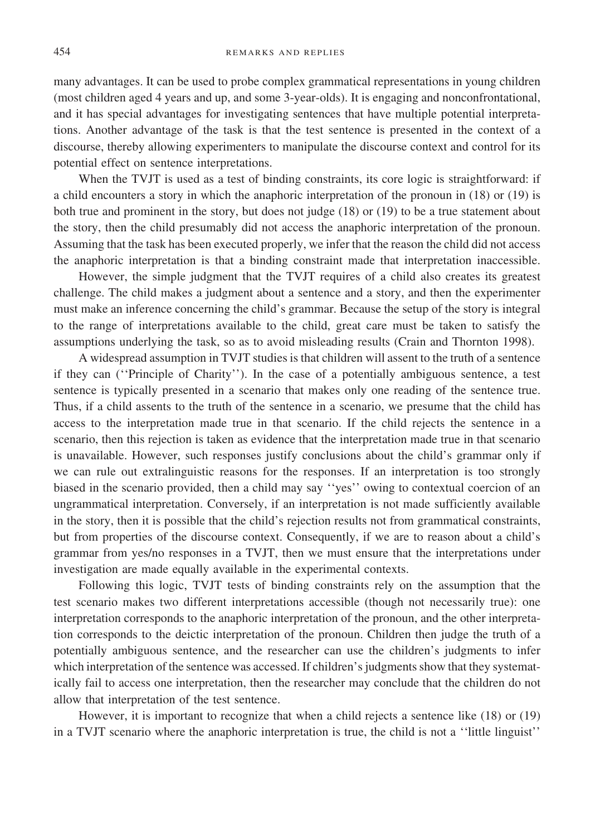many advantages. It can be used to probe complex grammatical representations in young children (most children aged 4 years and up, and some 3-year-olds). It is engaging and nonconfrontational, and it has special advantages for investigating sentences that have multiple potential interpretations. Another advantage of the task is that the test sentence is presented in the context of a discourse, thereby allowing experimenters to manipulate the discourse context and control for its potential effect on sentence interpretations.

When the TVJT is used as a test of binding constraints, its core logic is straightforward: if a child encounters a story in which the anaphoric interpretation of the pronoun in (18) or (19) is both true and prominent in the story, but does not judge (18) or (19) to be a true statement about the story, then the child presumably did not access the anaphoric interpretation of the pronoun. Assuming that the task has been executed properly, we infer that the reason the child did not access the anaphoric interpretation is that a binding constraint made that interpretation inaccessible.

However, the simple judgment that the TVJT requires of a child also creates its greatest challenge. The child makes a judgment about a sentence and a story, and then the experimenter must make an inference concerning the child's grammar. Because the setup of the story is integral to the range of interpretations available to the child, great care must be taken to satisfy the assumptions underlying the task, so as to avoid misleading results (Crain and Thornton 1998).

A widespread assumption in TVJT studies is that children will assent to the truth of a sentence if they can (''Principle of Charity''). In the case of a potentially ambiguous sentence, a test sentence is typically presented in a scenario that makes only one reading of the sentence true. Thus, if a child assents to the truth of the sentence in a scenario, we presume that the child has access to the interpretation made true in that scenario. If the child rejects the sentence in a scenario, then this rejection is taken as evidence that the interpretation made true in that scenario is unavailable. However, such responses justify conclusions about the child's grammar only if we can rule out extralinguistic reasons for the responses. If an interpretation is too strongly biased in the scenario provided, then a child may say ''yes'' owing to contextual coercion of an ungrammatical interpretation. Conversely, if an interpretation is not made sufficiently available in the story, then it is possible that the child's rejection results not from grammatical constraints, but from properties of the discourse context. Consequently, if we are to reason about a child's grammar from yes/no responses in a TVJT, then we must ensure that the interpretations under investigation are made equally available in the experimental contexts.

Following this logic, TVJT tests of binding constraints rely on the assumption that the test scenario makes two different interpretations accessible (though not necessarily true): one interpretation corresponds to the anaphoric interpretation of the pronoun, and the other interpretation corresponds to the deictic interpretation of the pronoun. Children then judge the truth of a potentially ambiguous sentence, and the researcher can use the children's judgments to infer which interpretation of the sentence was accessed. If children's judgments show that they systematically fail to access one interpretation, then the researcher may conclude that the children do not allow that interpretation of the test sentence.

However, it is important to recognize that when a child rejects a sentence like (18) or (19) in a TVJT scenario where the anaphoric interpretation is true, the child is not a ''little linguist''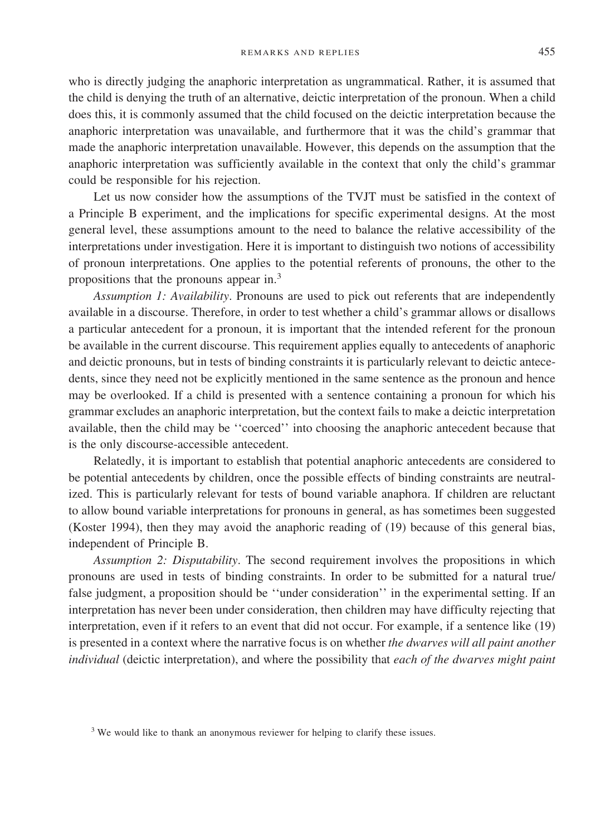who is directly judging the anaphoric interpretation as ungrammatical. Rather, it is assumed that the child is denying the truth of an alternative, deictic interpretation of the pronoun. When a child does this, it is commonly assumed that the child focused on the deictic interpretation because the anaphoric interpretation was unavailable, and furthermore that it was the child's grammar that made the anaphoric interpretation unavailable. However, this depends on the assumption that the anaphoric interpretation was sufficiently available in the context that only the child's grammar could be responsible for his rejection.

Let us now consider how the assumptions of the TVJT must be satisfied in the context of a Principle B experiment, and the implications for specific experimental designs. At the most general level, these assumptions amount to the need to balance the relative accessibility of the interpretations under investigation. Here it is important to distinguish two notions of accessibility of pronoun interpretations. One applies to the potential referents of pronouns, the other to the propositions that the pronouns appear in.<sup>3</sup>

*Assumption 1: Availability*. Pronouns are used to pick out referents that are independently available in a discourse. Therefore, in order to test whether a child's grammar allows or disallows a particular antecedent for a pronoun, it is important that the intended referent for the pronoun be available in the current discourse. This requirement applies equally to antecedents of anaphoric and deictic pronouns, but in tests of binding constraints it is particularly relevant to deictic antecedents, since they need not be explicitly mentioned in the same sentence as the pronoun and hence may be overlooked. If a child is presented with a sentence containing a pronoun for which his grammar excludes an anaphoric interpretation, but the context fails to make a deictic interpretation available, then the child may be ''coerced'' into choosing the anaphoric antecedent because that is the only discourse-accessible antecedent.

Relatedly, it is important to establish that potential anaphoric antecedents are considered to be potential antecedents by children, once the possible effects of binding constraints are neutralized. This is particularly relevant for tests of bound variable anaphora. If children are reluctant to allow bound variable interpretations for pronouns in general, as has sometimes been suggested (Koster 1994), then they may avoid the anaphoric reading of (19) because of this general bias, independent of Principle B.

*Assumption 2: Disputability*. The second requirement involves the propositions in which pronouns are used in tests of binding constraints. In order to be submitted for a natural true/ false judgment, a proposition should be ''under consideration'' in the experimental setting. If an interpretation has never been under consideration, then children may have difficulty rejecting that interpretation, even if it refers to an event that did not occur. For example, if a sentence like (19) is presented in a context where the narrative focus is on whether *the dwarves will all paint another individual* (deictic interpretation), and where the possibility that *each of the dwarves might paint*

<sup>&</sup>lt;sup>3</sup> We would like to thank an anonymous reviewer for helping to clarify these issues.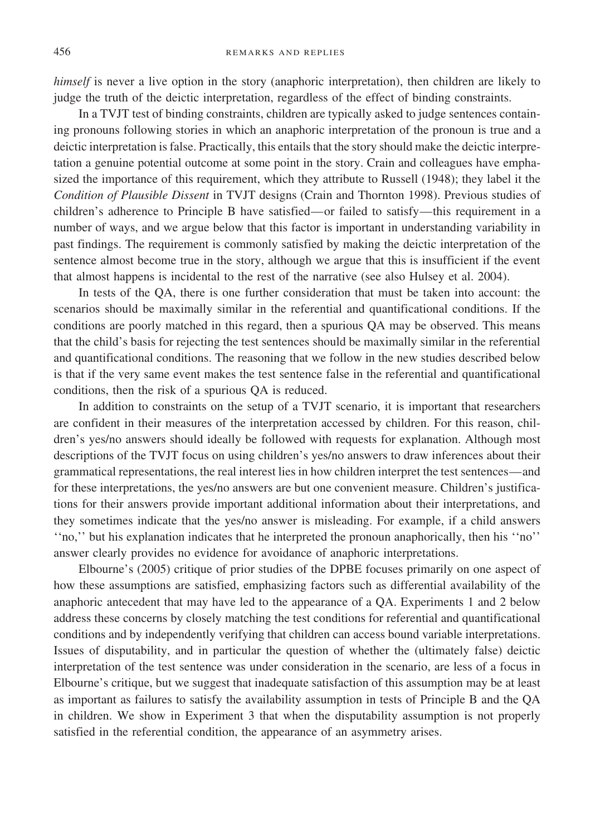*himself* is never a live option in the story (anaphoric interpretation), then children are likely to judge the truth of the deictic interpretation, regardless of the effect of binding constraints.

In a TVJT test of binding constraints, children are typically asked to judge sentences containing pronouns following stories in which an anaphoric interpretation of the pronoun is true and a deictic interpretation is false. Practically, this entails that the story should make the deictic interpretation a genuine potential outcome at some point in the story. Crain and colleagues have emphasized the importance of this requirement, which they attribute to Russell (1948); they label it the *Condition of Plausible Dissent* in TVJT designs (Crain and Thornton 1998). Previous studies of children's adherence to Principle B have satisfied—or failed to satisfy—this requirement in a number of ways, and we argue below that this factor is important in understanding variability in past findings. The requirement is commonly satisfied by making the deictic interpretation of the sentence almost become true in the story, although we argue that this is insufficient if the event that almost happens is incidental to the rest of the narrative (see also Hulsey et al. 2004).

In tests of the QA, there is one further consideration that must be taken into account: the scenarios should be maximally similar in the referential and quantificational conditions. If the conditions are poorly matched in this regard, then a spurious QA may be observed. This means that the child's basis for rejecting the test sentences should be maximally similar in the referential and quantificational conditions. The reasoning that we follow in the new studies described below is that if the very same event makes the test sentence false in the referential and quantificational conditions, then the risk of a spurious QA is reduced.

In addition to constraints on the setup of a TVJT scenario, it is important that researchers are confident in their measures of the interpretation accessed by children. For this reason, children's yes/no answers should ideally be followed with requests for explanation. Although most descriptions of the TVJT focus on using children's yes/no answers to draw inferences about their grammatical representations, the real interest lies in how children interpret the test sentences—and for these interpretations, the yes/no answers are but one convenient measure. Children's justifications for their answers provide important additional information about their interpretations, and they sometimes indicate that the yes/no answer is misleading. For example, if a child answers ''no,'' but his explanation indicates that he interpreted the pronoun anaphorically, then his ''no'' answer clearly provides no evidence for avoidance of anaphoric interpretations.

Elbourne's (2005) critique of prior studies of the DPBE focuses primarily on one aspect of how these assumptions are satisfied, emphasizing factors such as differential availability of the anaphoric antecedent that may have led to the appearance of a QA. Experiments 1 and 2 below address these concerns by closely matching the test conditions for referential and quantificational conditions and by independently verifying that children can access bound variable interpretations. Issues of disputability, and in particular the question of whether the (ultimately false) deictic interpretation of the test sentence was under consideration in the scenario, are less of a focus in Elbourne's critique, but we suggest that inadequate satisfaction of this assumption may be at least as important as failures to satisfy the availability assumption in tests of Principle B and the QA in children. We show in Experiment 3 that when the disputability assumption is not properly satisfied in the referential condition, the appearance of an asymmetry arises.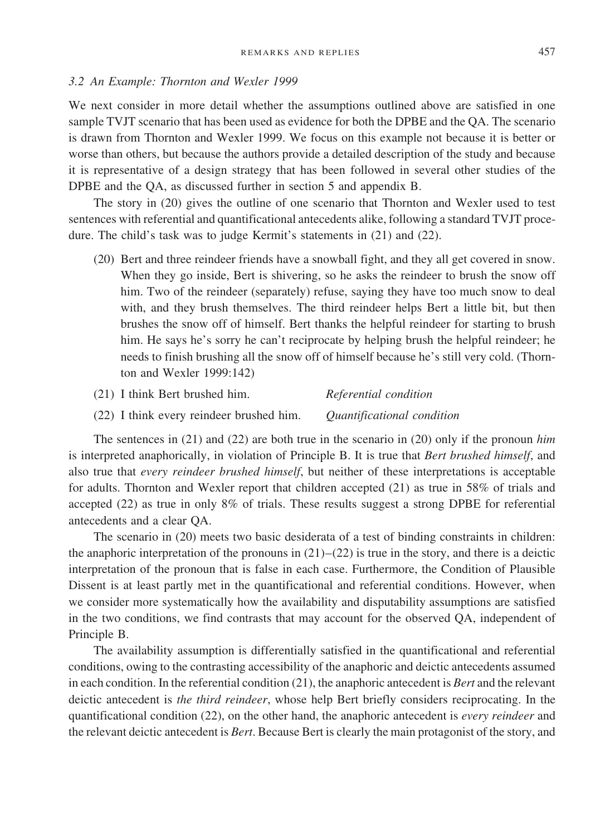## *3.2 An Example: Thornton and Wexler 1999*

We next consider in more detail whether the assumptions outlined above are satisfied in one sample TVJT scenario that has been used as evidence for both the DPBE and the QA. The scenario is drawn from Thornton and Wexler 1999. We focus on this example not because it is better or worse than others, but because the authors provide a detailed description of the study and because it is representative of a design strategy that has been followed in several other studies of the DPBE and the QA, as discussed further in section 5 and appendix B.

The story in (20) gives the outline of one scenario that Thornton and Wexler used to test sentences with referential and quantificational antecedents alike, following a standard TVJT procedure. The child's task was to judge Kermit's statements in (21) and (22).

(20) Bert and three reindeer friends have a snowball fight, and they all get covered in snow. When they go inside, Bert is shivering, so he asks the reindeer to brush the snow off him. Two of the reindeer (separately) refuse, saying they have too much snow to deal with, and they brush themselves. The third reindeer helps Bert a little bit, but then brushes the snow off of himself. Bert thanks the helpful reindeer for starting to brush him. He says he's sorry he can't reciprocate by helping brush the helpful reindeer; he needs to finish brushing all the snow off of himself because he's still very cold. (Thornton and Wexler 1999:142)

| (21) I think Bert brushed him.           | Referential condition      |
|------------------------------------------|----------------------------|
| (22) I think every reindeer brushed him. | Quantificational condition |

The sentences in (21) and (22) are both true in the scenario in (20) only if the pronoun *him* is interpreted anaphorically, in violation of Principle B. It is true that *Bert brushed himself*, and also true that *every reindeer brushed himself*, but neither of these interpretations is acceptable for adults. Thornton and Wexler report that children accepted (21) as true in 58% of trials and accepted (22) as true in only 8% of trials. These results suggest a strong DPBE for referential antecedents and a clear QA.

The scenario in (20) meets two basic desiderata of a test of binding constraints in children: the anaphoric interpretation of the pronouns in  $(21)$ – $(22)$  is true in the story, and there is a deictic interpretation of the pronoun that is false in each case. Furthermore, the Condition of Plausible Dissent is at least partly met in the quantificational and referential conditions. However, when we consider more systematically how the availability and disputability assumptions are satisfied in the two conditions, we find contrasts that may account for the observed QA, independent of Principle B.

The availability assumption is differentially satisfied in the quantificational and referential conditions, owing to the contrasting accessibility of the anaphoric and deictic antecedents assumed in each condition. In the referential condition (21), the anaphoric antecedent is *Bert* and the relevant deictic antecedent is *the third reindeer*, whose help Bert briefly considers reciprocating. In the quantificational condition (22), on the other hand, the anaphoric antecedent is *every reindeer* and the relevant deictic antecedent is *Bert*. Because Bert is clearly the main protagonist of the story, and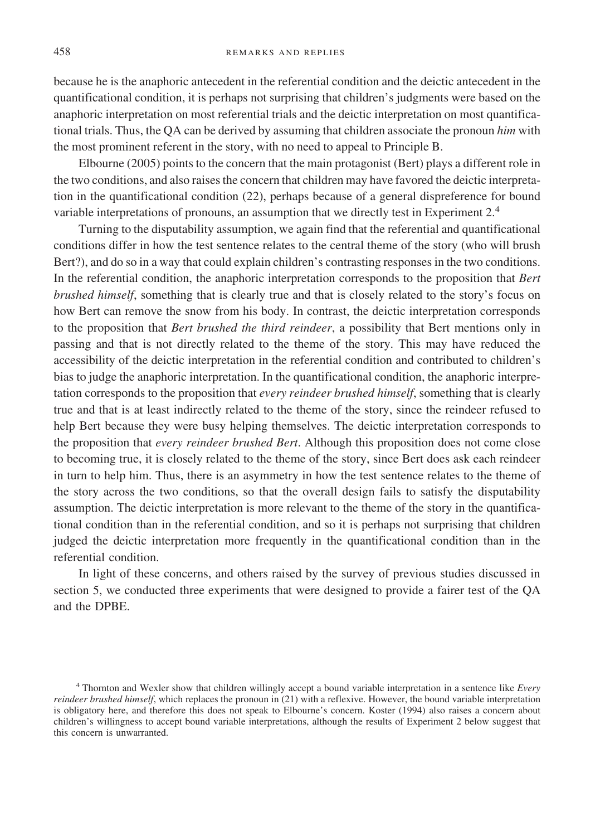because he is the anaphoric antecedent in the referential condition and the deictic antecedent in the quantificational condition, it is perhaps not surprising that children's judgments were based on the anaphoric interpretation on most referential trials and the deictic interpretation on most quantificational trials. Thus, the QA can be derived by assuming that children associate the pronoun *him* with the most prominent referent in the story, with no need to appeal to Principle B.

Elbourne (2005) points to the concern that the main protagonist (Bert) plays a different role in the two conditions, and also raises the concern that children may have favored the deictic interpretation in the quantificational condition (22), perhaps because of a general dispreference for bound variable interpretations of pronouns, an assumption that we directly test in Experiment 2.<sup>4</sup>

Turning to the disputability assumption, we again find that the referential and quantificational conditions differ in how the test sentence relates to the central theme of the story (who will brush Bert?), and do so in a way that could explain children's contrasting responses in the two conditions. In the referential condition, the anaphoric interpretation corresponds to the proposition that *Bert brushed himself*, something that is clearly true and that is closely related to the story's focus on how Bert can remove the snow from his body. In contrast, the deictic interpretation corresponds to the proposition that *Bert brushed the third reindeer*, a possibility that Bert mentions only in passing and that is not directly related to the theme of the story. This may have reduced the accessibility of the deictic interpretation in the referential condition and contributed to children's bias to judge the anaphoric interpretation. In the quantificational condition, the anaphoric interpretation corresponds to the proposition that *every reindeer brushed himself*, something that is clearly true and that is at least indirectly related to the theme of the story, since the reindeer refused to help Bert because they were busy helping themselves. The deictic interpretation corresponds to the proposition that *every reindeer brushed Bert*. Although this proposition does not come close to becoming true, it is closely related to the theme of the story, since Bert does ask each reindeer in turn to help him. Thus, there is an asymmetry in how the test sentence relates to the theme of the story across the two conditions, so that the overall design fails to satisfy the disputability assumption. The deictic interpretation is more relevant to the theme of the story in the quantificational condition than in the referential condition, and so it is perhaps not surprising that children judged the deictic interpretation more frequently in the quantificational condition than in the referential condition.

In light of these concerns, and others raised by the survey of previous studies discussed in section 5, we conducted three experiments that were designed to provide a fairer test of the QA and the DPBE.

<sup>4</sup> Thornton and Wexler show that children willingly accept a bound variable interpretation in a sentence like *Every reindeer brushed himself*, which replaces the pronoun in (21) with a reflexive. However, the bound variable interpretation is obligatory here, and therefore this does not speak to Elbourne's concern. Koster (1994) also raises a concern about children's willingness to accept bound variable interpretations, although the results of Experiment 2 below suggest that this concern is unwarranted.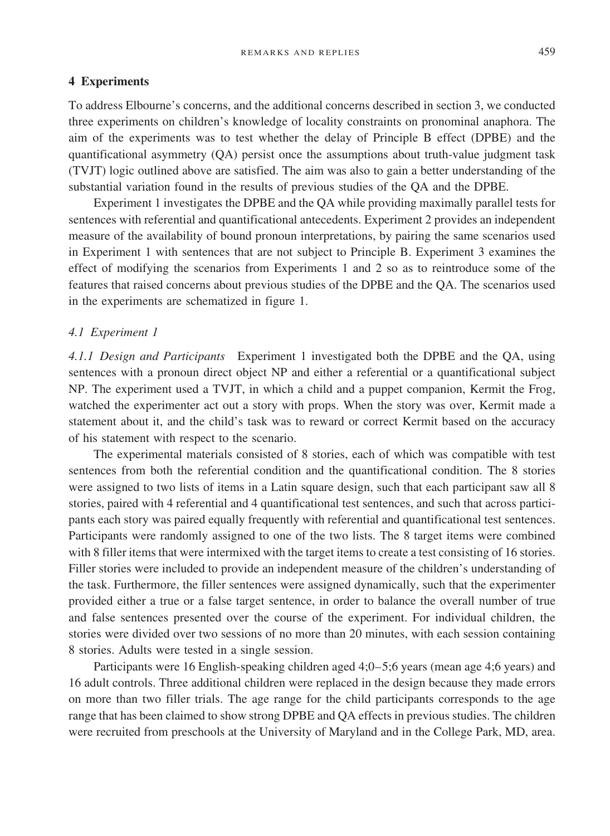# **4 Experiments**

To address Elbourne's concerns, and the additional concerns described in section 3, we conducted three experiments on children's knowledge of locality constraints on pronominal anaphora. The aim of the experiments was to test whether the delay of Principle B effect (DPBE) and the quantificational asymmetry (QA) persist once the assumptions about truth-value judgment task (TVJT) logic outlined above are satisfied. The aim was also to gain a better understanding of the substantial variation found in the results of previous studies of the QA and the DPBE.

Experiment 1 investigates the DPBE and the QA while providing maximally parallel tests for sentences with referential and quantificational antecedents. Experiment 2 provides an independent measure of the availability of bound pronoun interpretations, by pairing the same scenarios used in Experiment 1 with sentences that are not subject to Principle B. Experiment 3 examines the effect of modifying the scenarios from Experiments 1 and 2 so as to reintroduce some of the features that raised concerns about previous studies of the DPBE and the QA. The scenarios used in the experiments are schematized in figure 1.

# *4.1 Experiment 1*

*4.1.1 Design and Participants* Experiment 1 investigated both the DPBE and the QA, using sentences with a pronoun direct object NP and either a referential or a quantificational subject NP. The experiment used a TVJT, in which a child and a puppet companion, Kermit the Frog, watched the experimenter act out a story with props. When the story was over, Kermit made a statement about it, and the child's task was to reward or correct Kermit based on the accuracy of his statement with respect to the scenario.

The experimental materials consisted of 8 stories, each of which was compatible with test sentences from both the referential condition and the quantificational condition. The 8 stories were assigned to two lists of items in a Latin square design, such that each participant saw all 8 stories, paired with 4 referential and 4 quantificational test sentences, and such that across participants each story was paired equally frequently with referential and quantificational test sentences. Participants were randomly assigned to one of the two lists. The 8 target items were combined with 8 filler items that were intermixed with the target items to create a test consisting of 16 stories. Filler stories were included to provide an independent measure of the children's understanding of the task. Furthermore, the filler sentences were assigned dynamically, such that the experimenter provided either a true or a false target sentence, in order to balance the overall number of true and false sentences presented over the course of the experiment. For individual children, the stories were divided over two sessions of no more than 20 minutes, with each session containing 8 stories. Adults were tested in a single session.

Participants were 16 English-speaking children aged 4;0–5;6 years (mean age 4;6 years) and 16 adult controls. Three additional children were replaced in the design because they made errors on more than two filler trials. The age range for the child participants corresponds to the age range that has been claimed to show strong DPBE and QA effects in previous studies. The children were recruited from preschools at the University of Maryland and in the College Park, MD, area.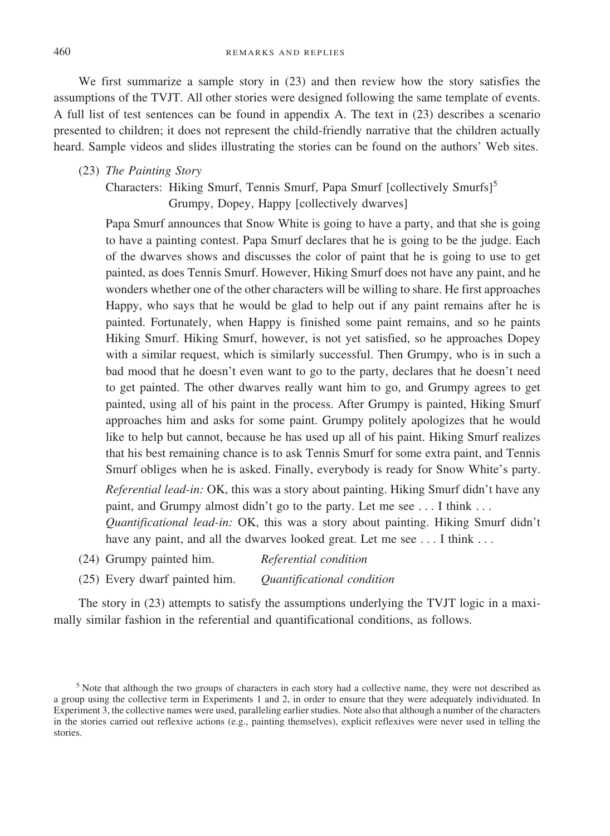We first summarize a sample story in (23) and then review how the story satisfies the assumptions of the TVJT. All other stories were designed following the same template of events. A full list of test sentences can be found in appendix A. The text in (23) describes a scenario presented to children; it does not represent the child-friendly narrative that the children actually heard. Sample videos and slides illustrating the stories can be found on the authors' Web sites.

# (23) *The Painting Story*

Characters: Hiking Smurf, Tennis Smurf, Papa Smurf [collectively Smurfs]<sup>5</sup> Grumpy, Dopey, Happy [collectively dwarves]

Papa Smurf announces that Snow White is going to have a party, and that she is going to have a painting contest. Papa Smurf declares that he is going to be the judge. Each of the dwarves shows and discusses the color of paint that he is going to use to get painted, as does Tennis Smurf. However, Hiking Smurf does not have any paint, and he wonders whether one of the other characters will be willing to share. He first approaches Happy, who says that he would be glad to help out if any paint remains after he is painted. Fortunately, when Happy is finished some paint remains, and so he paints Hiking Smurf. Hiking Smurf, however, is not yet satisfied, so he approaches Dopey with a similar request, which is similarly successful. Then Grumpy, who is in such a bad mood that he doesn't even want to go to the party, declares that he doesn't need to get painted. The other dwarves really want him to go, and Grumpy agrees to get painted, using all of his paint in the process. After Grumpy is painted, Hiking Smurf approaches him and asks for some paint. Grumpy politely apologizes that he would like to help but cannot, because he has used up all of his paint. Hiking Smurf realizes that his best remaining chance is to ask Tennis Smurf for some extra paint, and Tennis Smurf obliges when he is asked. Finally, everybody is ready for Snow White's party.

*Referential lead-in:* OK, this was a story about painting. Hiking Smurf didn't have any paint, and Grumpy almost didn't go to the party. Let me see . . . I think . . .

*Quantificational lead-in:* OK, this was a story about painting. Hiking Smurf didn't have any paint, and all the dwarves looked great. Let me see . . . I think . . .

- (24) Grumpy painted him. *Referential condition*
- (25) Every dwarf painted him. *Quantificational condition*

The story in (23) attempts to satisfy the assumptions underlying the TVJT logic in a maximally similar fashion in the referential and quantificational conditions, as follows.

<sup>&</sup>lt;sup>5</sup> Note that although the two groups of characters in each story had a collective name, they were not described as a group using the collective term in Experiments 1 and 2, in order to ensure that they were adequately individuated. In Experiment 3, the collective names were used, paralleling earlier studies. Note also that although a number of the characters in the stories carried out reflexive actions (e.g., painting themselves), explicit reflexives were never used in telling the stories.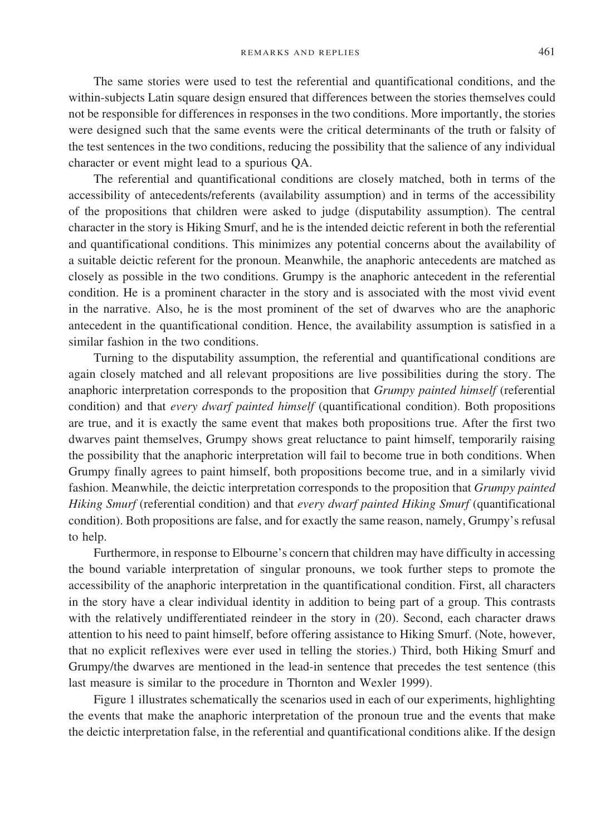The same stories were used to test the referential and quantificational conditions, and the within-subjects Latin square design ensured that differences between the stories themselves could not be responsible for differences in responses in the two conditions. More importantly, the stories were designed such that the same events were the critical determinants of the truth or falsity of the test sentences in the two conditions, reducing the possibility that the salience of any individual character or event might lead to a spurious QA.

The referential and quantificational conditions are closely matched, both in terms of the accessibility of antecedents/referents (availability assumption) and in terms of the accessibility of the propositions that children were asked to judge (disputability assumption). The central character in the story is Hiking Smurf, and he is the intended deictic referent in both the referential and quantificational conditions. This minimizes any potential concerns about the availability of a suitable deictic referent for the pronoun. Meanwhile, the anaphoric antecedents are matched as closely as possible in the two conditions. Grumpy is the anaphoric antecedent in the referential condition. He is a prominent character in the story and is associated with the most vivid event in the narrative. Also, he is the most prominent of the set of dwarves who are the anaphoric antecedent in the quantificational condition. Hence, the availability assumption is satisfied in a similar fashion in the two conditions.

Turning to the disputability assumption, the referential and quantificational conditions are again closely matched and all relevant propositions are live possibilities during the story. The anaphoric interpretation corresponds to the proposition that *Grumpy painted himself* (referential condition) and that *every dwarf painted himself* (quantificational condition). Both propositions are true, and it is exactly the same event that makes both propositions true. After the first two dwarves paint themselves, Grumpy shows great reluctance to paint himself, temporarily raising the possibility that the anaphoric interpretation will fail to become true in both conditions. When Grumpy finally agrees to paint himself, both propositions become true, and in a similarly vivid fashion. Meanwhile, the deictic interpretation corresponds to the proposition that *Grumpy painted Hiking Smurf* (referential condition) and that *every dwarf painted Hiking Smurf* (quantificational condition). Both propositions are false, and for exactly the same reason, namely, Grumpy's refusal to help.

Furthermore, in response to Elbourne's concern that children may have difficulty in accessing the bound variable interpretation of singular pronouns, we took further steps to promote the accessibility of the anaphoric interpretation in the quantificational condition. First, all characters in the story have a clear individual identity in addition to being part of a group. This contrasts with the relatively undifferentiated reindeer in the story in (20). Second, each character draws attention to his need to paint himself, before offering assistance to Hiking Smurf. (Note, however, that no explicit reflexives were ever used in telling the stories.) Third, both Hiking Smurf and Grumpy/the dwarves are mentioned in the lead-in sentence that precedes the test sentence (this last measure is similar to the procedure in Thornton and Wexler 1999).

Figure 1 illustrates schematically the scenarios used in each of our experiments, highlighting the events that make the anaphoric interpretation of the pronoun true and the events that make the deictic interpretation false, in the referential and quantificational conditions alike. If the design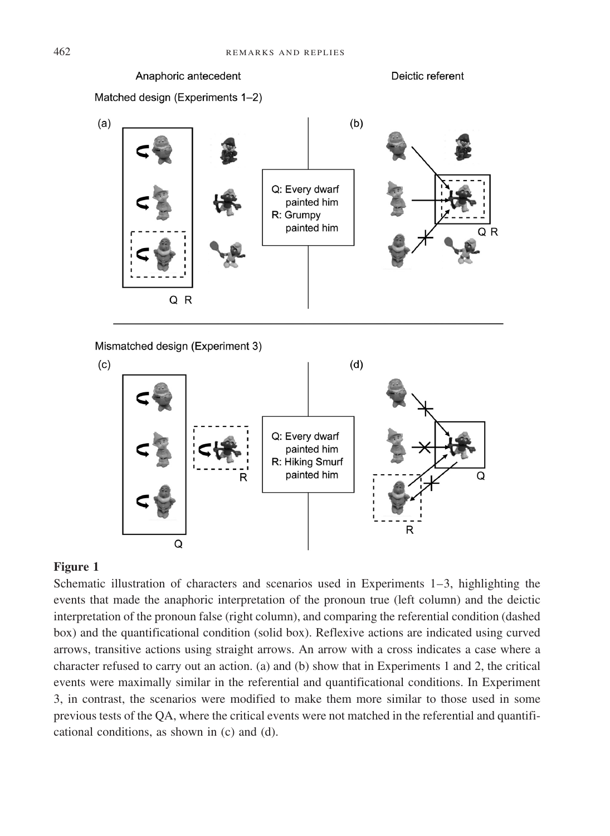

QR



QR

# **Figure 1**

Schematic illustration of characters and scenarios used in Experiments 1–3, highlighting the events that made the anaphoric interpretation of the pronoun true (left column) and the deictic interpretation of the pronoun false (right column), and comparing the referential condition (dashed box) and the quantificational condition (solid box). Reflexive actions are indicated using curved arrows, transitive actions using straight arrows. An arrow with a cross indicates a case where a character refused to carry out an action. (a) and (b) show that in Experiments 1 and 2, the critical events were maximally similar in the referential and quantificational conditions. In Experiment 3, in contrast, the scenarios were modified to make them more similar to those used in some previous tests of the QA, where the critical events were not matched in the referential and quantificational conditions, as shown in (c) and (d).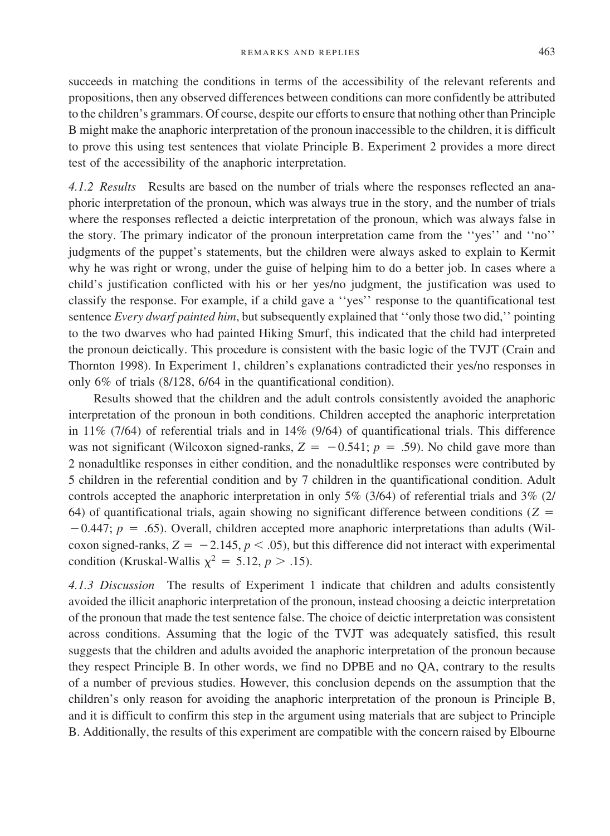succeeds in matching the conditions in terms of the accessibility of the relevant referents and propositions, then any observed differences between conditions can more confidently be attributed to the children's grammars. Of course, despite our efforts to ensure that nothing other than Principle B might make the anaphoric interpretation of the pronoun inaccessible to the children, it is difficult to prove this using test sentences that violate Principle B. Experiment 2 provides a more direct test of the accessibility of the anaphoric interpretation.

*4.1.2 Results* Results are based on the number of trials where the responses reflected an anaphoric interpretation of the pronoun, which was always true in the story, and the number of trials where the responses reflected a deictic interpretation of the pronoun, which was always false in the story. The primary indicator of the pronoun interpretation came from the ''yes'' and ''no'' judgments of the puppet's statements, but the children were always asked to explain to Kermit why he was right or wrong, under the guise of helping him to do a better job. In cases where a child's justification conflicted with his or her yes/no judgment, the justification was used to classify the response. For example, if a child gave a ''yes'' response to the quantificational test sentence *Every dwarf painted him*, but subsequently explained that ''only those two did,'' pointing to the two dwarves who had painted Hiking Smurf, this indicated that the child had interpreted the pronoun deictically. This procedure is consistent with the basic logic of the TVJT (Crain and Thornton 1998). In Experiment 1, children's explanations contradicted their yes/no responses in only 6% of trials (8/128, 6/64 in the quantificational condition).

Results showed that the children and the adult controls consistently avoided the anaphoric interpretation of the pronoun in both conditions. Children accepted the anaphoric interpretation in  $11\%$  (7/64) of referential trials and in  $14\%$  (9/64) of quantificational trials. This difference was not significant (Wilcoxon signed-ranks,  $Z = -0.541$ ;  $p = .59$ ). No child gave more than 2 nonadultlike responses in either condition, and the nonadultlike responses were contributed by 5 children in the referential condition and by 7 children in the quantificational condition. Adult controls accepted the anaphoric interpretation in only 5% (3/64) of referential trials and 3% (2/ $\alpha$ 64) of quantificational trials, again showing no significant difference between conditions  $(Z =$  $-0.447$ ;  $p = .65$ ). Overall, children accepted more anaphoric interpretations than adults (Wilcoxon signed-ranks,  $Z = -2.145$ ,  $p < .05$ ), but this difference did not interact with experimental condition (Kruskal-Wallis  $\chi^2 = 5.12, p > .15$ ).

*4.1.3 Discussion* The results of Experiment 1 indicate that children and adults consistently avoided the illicit anaphoric interpretation of the pronoun, instead choosing a deictic interpretation of the pronoun that made the test sentence false. The choice of deictic interpretation was consistent across conditions. Assuming that the logic of the TVJT was adequately satisfied, this result suggests that the children and adults avoided the anaphoric interpretation of the pronoun because they respect Principle B. In other words, we find no DPBE and no QA, contrary to the results of a number of previous studies. However, this conclusion depends on the assumption that the children's only reason for avoiding the anaphoric interpretation of the pronoun is Principle B, and it is difficult to confirm this step in the argument using materials that are subject to Principle B. Additionally, the results of this experiment are compatible with the concern raised by Elbourne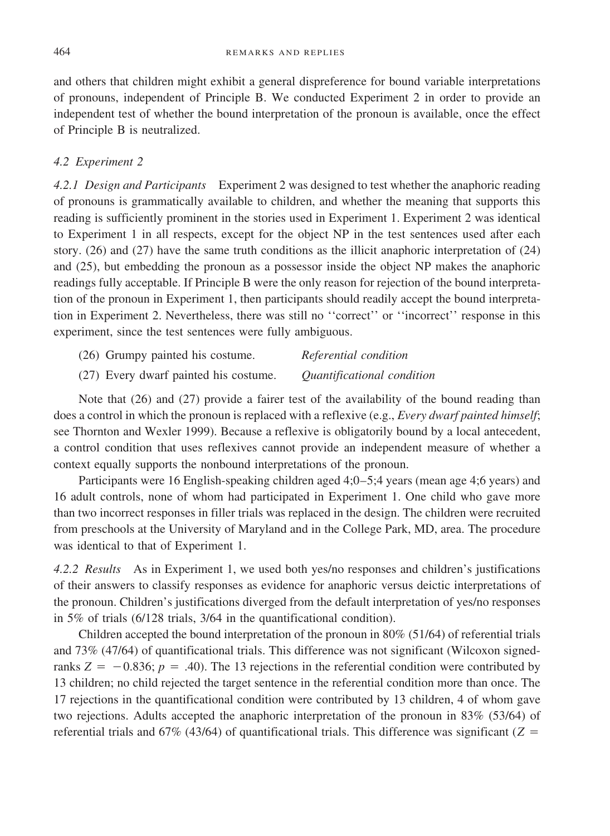and others that children might exhibit a general dispreference for bound variable interpretations of pronouns, independent of Principle B. We conducted Experiment 2 in order to provide an independent test of whether the bound interpretation of the pronoun is available, once the effect of Principle B is neutralized.

#### *4.2 Experiment 2*

*4.2.1 Design and Participants* Experiment 2 was designed to test whether the anaphoric reading of pronouns is grammatically available to children, and whether the meaning that supports this reading is sufficiently prominent in the stories used in Experiment 1. Experiment 2 was identical to Experiment 1 in all respects, except for the object NP in the test sentences used after each story. (26) and (27) have the same truth conditions as the illicit anaphoric interpretation of (24) and (25), but embedding the pronoun as a possessor inside the object NP makes the anaphoric readings fully acceptable. If Principle B were the only reason for rejection of the bound interpretation of the pronoun in Experiment 1, then participants should readily accept the bound interpretation in Experiment 2. Nevertheless, there was still no ''correct'' or ''incorrect'' response in this experiment, since the test sentences were fully ambiguous.

- (26) Grumpy painted his costume. *Referential condition*
- (27) Every dwarf painted his costume. *Quantificational condition*

Note that (26) and (27) provide a fairer test of the availability of the bound reading than does a control in which the pronoun is replaced with a reflexive (e.g., *Every dwarf painted himself*; see Thornton and Wexler 1999). Because a reflexive is obligatorily bound by a local antecedent, a control condition that uses reflexives cannot provide an independent measure of whether a context equally supports the nonbound interpretations of the pronoun.

Participants were 16 English-speaking children aged 4;0–5;4 years (mean age 4;6 years) and 16 adult controls, none of whom had participated in Experiment 1. One child who gave more than two incorrect responses in filler trials was replaced in the design. The children were recruited from preschools at the University of Maryland and in the College Park, MD, area. The procedure was identical to that of Experiment 1.

*4.2.2 Results* As in Experiment 1, we used both yes/no responses and children's justifications of their answers to classify responses as evidence for anaphoric versus deictic interpretations of the pronoun. Children's justifications diverged from the default interpretation of yes/no responses in 5% of trials (6/128 trials, 3/64 in the quantificational condition).

Children accepted the bound interpretation of the pronoun in 80% (51/64) of referential trials and 73% (47/64) of quantificational trials. This difference was not significant (Wilcoxon signedranks  $Z = -0.836$ ;  $p = .40$ ). The 13 rejections in the referential condition were contributed by 13 children; no child rejected the target sentence in the referential condition more than once. The 17 rejections in the quantificational condition were contributed by 13 children, 4 of whom gave two rejections. Adults accepted the anaphoric interpretation of the pronoun in 83% (53/64) of referential trials and  $67\%$  (43/64) of quantificational trials. This difference was significant ( $Z =$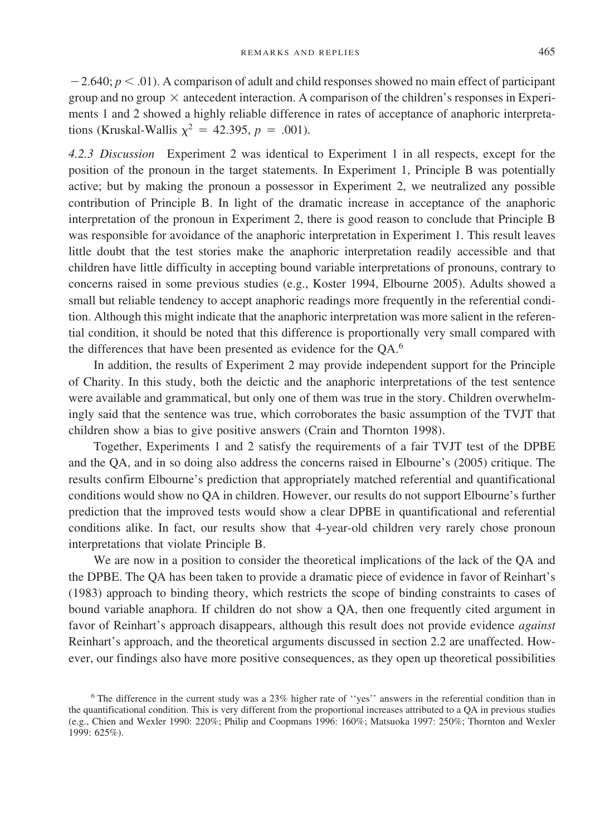$-2.640; p < .01$ ). A comparison of adult and child responses showed no main effect of participant group and no group  $\times$  antecedent interaction. A comparison of the children's responses in Experiments 1 and 2 showed a highly reliable difference in rates of acceptance of anaphoric interpretations (Kruskal-Wallis  $\chi^2 = 42.395$ ,  $p = .001$ ).

*4.2.3 Discussion* Experiment 2 was identical to Experiment 1 in all respects, except for the position of the pronoun in the target statements. In Experiment 1, Principle B was potentially active; but by making the pronoun a possessor in Experiment 2, we neutralized any possible contribution of Principle B. In light of the dramatic increase in acceptance of the anaphoric interpretation of the pronoun in Experiment 2, there is good reason to conclude that Principle B was responsible for avoidance of the anaphoric interpretation in Experiment 1. This result leaves little doubt that the test stories make the anaphoric interpretation readily accessible and that children have little difficulty in accepting bound variable interpretations of pronouns, contrary to concerns raised in some previous studies (e.g., Koster 1994, Elbourne 2005). Adults showed a small but reliable tendency to accept anaphoric readings more frequently in the referential condition. Although this might indicate that the anaphoric interpretation was more salient in the referential condition, it should be noted that this difference is proportionally very small compared with the differences that have been presented as evidence for the QA.<sup>6</sup>

In addition, the results of Experiment 2 may provide independent support for the Principle of Charity. In this study, both the deictic and the anaphoric interpretations of the test sentence were available and grammatical, but only one of them was true in the story. Children overwhelmingly said that the sentence was true, which corroborates the basic assumption of the TVJT that children show a bias to give positive answers (Crain and Thornton 1998).

Together, Experiments 1 and 2 satisfy the requirements of a fair TVJT test of the DPBE and the QA, and in so doing also address the concerns raised in Elbourne's (2005) critique. The results confirm Elbourne's prediction that appropriately matched referential and quantificational conditions would show no QA in children. However, our results do not support Elbourne's further prediction that the improved tests would show a clear DPBE in quantificational and referential conditions alike. In fact, our results show that 4-year-old children very rarely chose pronoun interpretations that violate Principle B.

We are now in a position to consider the theoretical implications of the lack of the QA and the DPBE. The QA has been taken to provide a dramatic piece of evidence in favor of Reinhart's (1983) approach to binding theory, which restricts the scope of binding constraints to cases of bound variable anaphora. If children do not show a QA, then one frequently cited argument in favor of Reinhart's approach disappears, although this result does not provide evidence *against* Reinhart's approach, and the theoretical arguments discussed in section 2.2 are unaffected. However, our findings also have more positive consequences, as they open up theoretical possibilities

<sup>6</sup> The difference in the current study was a 23% higher rate of ''yes'' answers in the referential condition than in the quantificational condition. This is very different from the proportional increases attributed to a QA in previous studies (e.g., Chien and Wexler 1990: 220%; Philip and Coopmans 1996: 160%; Matsuoka 1997: 250%; Thornton and Wexler 1999: 625%).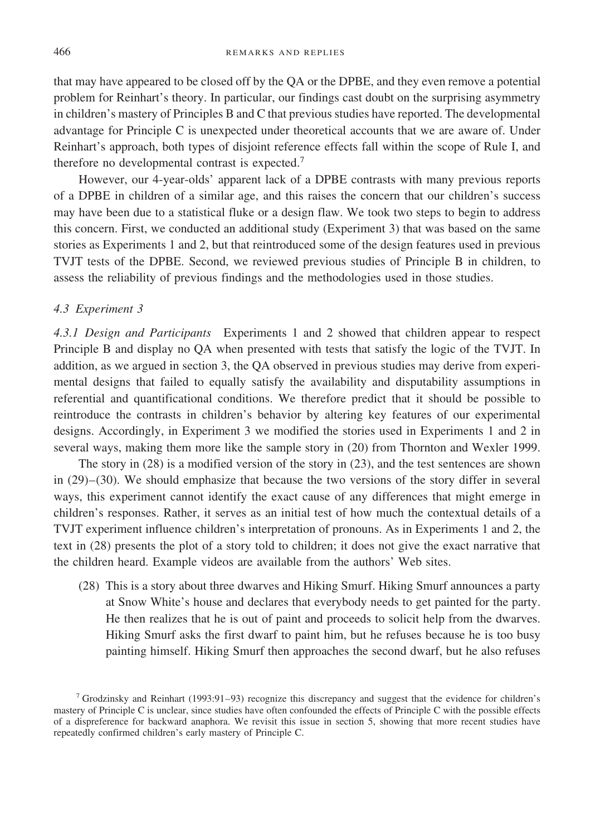that may have appeared to be closed off by the QA or the DPBE, and they even remove a potential problem for Reinhart's theory. In particular, our findings cast doubt on the surprising asymmetry in children's mastery of Principles B and C that previous studies have reported. The developmental advantage for Principle C is unexpected under theoretical accounts that we are aware of. Under Reinhart's approach, both types of disjoint reference effects fall within the scope of Rule I, and therefore no developmental contrast is expected.<sup>7</sup>

However, our 4-year-olds' apparent lack of a DPBE contrasts with many previous reports of a DPBE in children of a similar age, and this raises the concern that our children's success may have been due to a statistical fluke or a design flaw. We took two steps to begin to address this concern. First, we conducted an additional study (Experiment 3) that was based on the same stories as Experiments 1 and 2, but that reintroduced some of the design features used in previous TVJT tests of the DPBE. Second, we reviewed previous studies of Principle B in children, to assess the reliability of previous findings and the methodologies used in those studies.

## *4.3 Experiment 3*

*4.3.1 Design and Participants* Experiments 1 and 2 showed that children appear to respect Principle B and display no QA when presented with tests that satisfy the logic of the TVJT. In addition, as we argued in section 3, the QA observed in previous studies may derive from experimental designs that failed to equally satisfy the availability and disputability assumptions in referential and quantificational conditions. We therefore predict that it should be possible to reintroduce the contrasts in children's behavior by altering key features of our experimental designs. Accordingly, in Experiment 3 we modified the stories used in Experiments 1 and 2 in several ways, making them more like the sample story in (20) from Thornton and Wexler 1999.

The story in (28) is a modified version of the story in (23), and the test sentences are shown in (29)–(30). We should emphasize that because the two versions of the story differ in several ways, this experiment cannot identify the exact cause of any differences that might emerge in children's responses. Rather, it serves as an initial test of how much the contextual details of a TVJT experiment influence children's interpretation of pronouns. As in Experiments 1 and 2, the text in (28) presents the plot of a story told to children; it does not give the exact narrative that the children heard. Example videos are available from the authors' Web sites.

(28) This is a story about three dwarves and Hiking Smurf. Hiking Smurf announces a party at Snow White's house and declares that everybody needs to get painted for the party. He then realizes that he is out of paint and proceeds to solicit help from the dwarves. Hiking Smurf asks the first dwarf to paint him, but he refuses because he is too busy painting himself. Hiking Smurf then approaches the second dwarf, but he also refuses

<sup>7</sup> Grodzinsky and Reinhart (1993:91–93) recognize this discrepancy and suggest that the evidence for children's mastery of Principle C is unclear, since studies have often confounded the effects of Principle C with the possible effects of a dispreference for backward anaphora. We revisit this issue in section 5, showing that more recent studies have repeatedly confirmed children's early mastery of Principle C.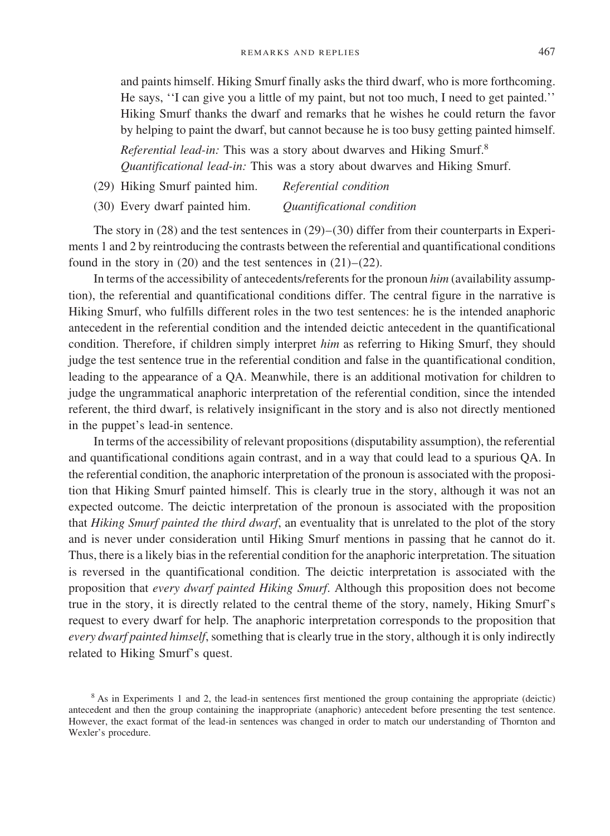and paints himself. Hiking Smurf finally asks the third dwarf, who is more forthcoming. He says, ''I can give you a little of my paint, but not too much, I need to get painted.'' Hiking Smurf thanks the dwarf and remarks that he wishes he could return the favor by helping to paint the dwarf, but cannot because he is too busy getting painted himself. *Referential lead-in:* This was a story about dwarves and Hiking Smurf.<sup>8</sup> *Quantificational lead-in:* This was a story about dwarves and Hiking Smurf.

- (29) Hiking Smurf painted him. *Referential condition*
- (30) Every dwarf painted him. *Quantificational condition*

The story in  $(28)$  and the test sentences in  $(29)$ – $(30)$  differ from their counterparts in Experiments 1 and 2 by reintroducing the contrasts between the referential and quantificational conditions found in the story in  $(20)$  and the test sentences in  $(21)$ – $(22)$ .

In terms of the accessibility of antecedents/referents for the pronoun *him* (availability assumption), the referential and quantificational conditions differ. The central figure in the narrative is Hiking Smurf, who fulfills different roles in the two test sentences: he is the intended anaphoric antecedent in the referential condition and the intended deictic antecedent in the quantificational condition. Therefore, if children simply interpret *him* as referring to Hiking Smurf, they should judge the test sentence true in the referential condition and false in the quantificational condition, leading to the appearance of a QA. Meanwhile, there is an additional motivation for children to judge the ungrammatical anaphoric interpretation of the referential condition, since the intended referent, the third dwarf, is relatively insignificant in the story and is also not directly mentioned in the puppet's lead-in sentence.

In terms of the accessibility of relevant propositions (disputability assumption), the referential and quantificational conditions again contrast, and in a way that could lead to a spurious QA. In the referential condition, the anaphoric interpretation of the pronoun is associated with the proposition that Hiking Smurf painted himself. This is clearly true in the story, although it was not an expected outcome. The deictic interpretation of the pronoun is associated with the proposition that *Hiking Smurf painted the third dwarf*, an eventuality that is unrelated to the plot of the story and is never under consideration until Hiking Smurf mentions in passing that he cannot do it. Thus, there is a likely bias in the referential condition for the anaphoric interpretation. The situation is reversed in the quantificational condition. The deictic interpretation is associated with the proposition that *every dwarf painted Hiking Smurf*. Although this proposition does not become true in the story, it is directly related to the central theme of the story, namely, Hiking Smurf's request to every dwarf for help. The anaphoric interpretation corresponds to the proposition that *every dwarf painted himself*, something that is clearly true in the story, although it is only indirectly related to Hiking Smurf's quest.

<sup>8</sup> As in Experiments 1 and 2, the lead-in sentences first mentioned the group containing the appropriate (deictic) antecedent and then the group containing the inappropriate (anaphoric) antecedent before presenting the test sentence. However, the exact format of the lead-in sentences was changed in order to match our understanding of Thornton and Wexler's procedure.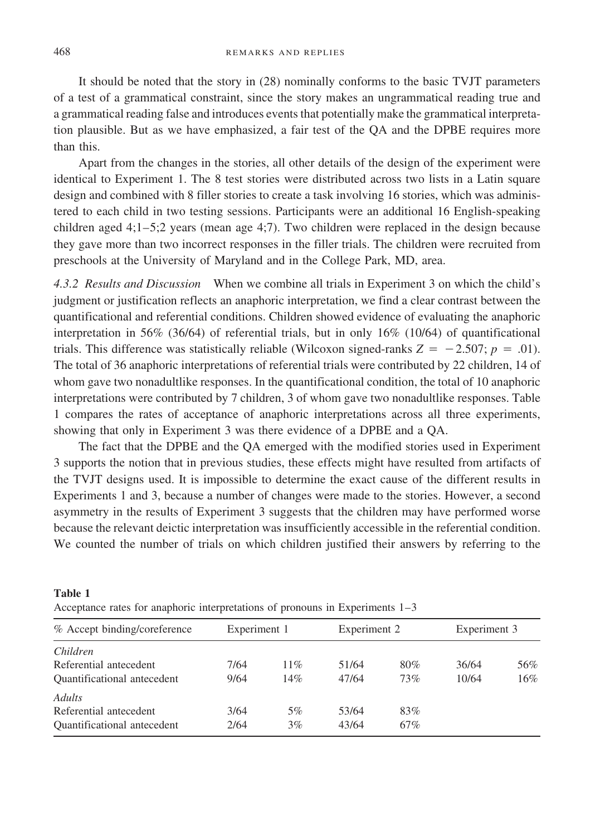It should be noted that the story in (28) nominally conforms to the basic TVJT parameters of a test of a grammatical constraint, since the story makes an ungrammatical reading true and a grammatical reading false and introduces events that potentially make the grammatical interpretation plausible. But as we have emphasized, a fair test of the QA and the DPBE requires more than this.

Apart from the changes in the stories, all other details of the design of the experiment were identical to Experiment 1. The 8 test stories were distributed across two lists in a Latin square design and combined with 8 filler stories to create a task involving 16 stories, which was administered to each child in two testing sessions. Participants were an additional 16 English-speaking children aged  $4;1-5;2$  years (mean age  $4;7$ ). Two children were replaced in the design because they gave more than two incorrect responses in the filler trials. The children were recruited from preschools at the University of Maryland and in the College Park, MD, area.

*4.3.2 Results and Discussion* When we combine all trials in Experiment 3 on which the child's judgment or justification reflects an anaphoric interpretation, we find a clear contrast between the quantificational and referential conditions. Children showed evidence of evaluating the anaphoric interpretation in 56% (36/64) of referential trials, but in only 16% (10/64) of quantificational trials. This difference was statistically reliable (Wilcoxon signed-ranks  $Z = -2.507$ ;  $p = .01$ ). The total of 36 anaphoric interpretations of referential trials were contributed by 22 children, 14 of whom gave two nonadultlike responses. In the quantificational condition, the total of 10 anaphoric interpretations were contributed by 7 children, 3 of whom gave two nonadultlike responses. Table 1 compares the rates of acceptance of anaphoric interpretations across all three experiments, showing that only in Experiment 3 was there evidence of a DPBE and a QA.

The fact that the DPBE and the QA emerged with the modified stories used in Experiment 3 supports the notion that in previous studies, these effects might have resulted from artifacts of the TVJT designs used. It is impossible to determine the exact cause of the different results in Experiments 1 and 3, because a number of changes were made to the stories. However, a second asymmetry in the results of Experiment 3 suggests that the children may have performed worse because the relevant deictic interpretation was insufficiently accessible in the referential condition. We counted the number of trials on which children justified their answers by referring to the

| <i>receptance rates for anapholic merpretations of pronouns in Emperiments r c</i> |      |              |       |              |       |              |  |
|------------------------------------------------------------------------------------|------|--------------|-------|--------------|-------|--------------|--|
| % Accept binding/coreference                                                       |      | Experiment 1 |       | Experiment 2 |       | Experiment 3 |  |
| Children                                                                           |      |              |       |              |       |              |  |
| Referential antecedent                                                             | 7/64 | $11\%$       | 51/64 | 80%          | 36/64 | 56%          |  |
| <b>Ouantificational</b> antecedent                                                 | 9/64 | 14%          | 47/64 | 73%          | 10/64 | 16%          |  |
| Adults                                                                             |      |              |       |              |       |              |  |
| Referential antecedent                                                             | 3/64 | 5%           | 53/64 | 83%          |       |              |  |
| <b>Ouantificational antecedent</b>                                                 | 2/64 | $3\%$        | 43/64 | 67%          |       |              |  |

**Table 1** Acceptance rates for anaphoric interpretations of pronouns in Experiments 1–3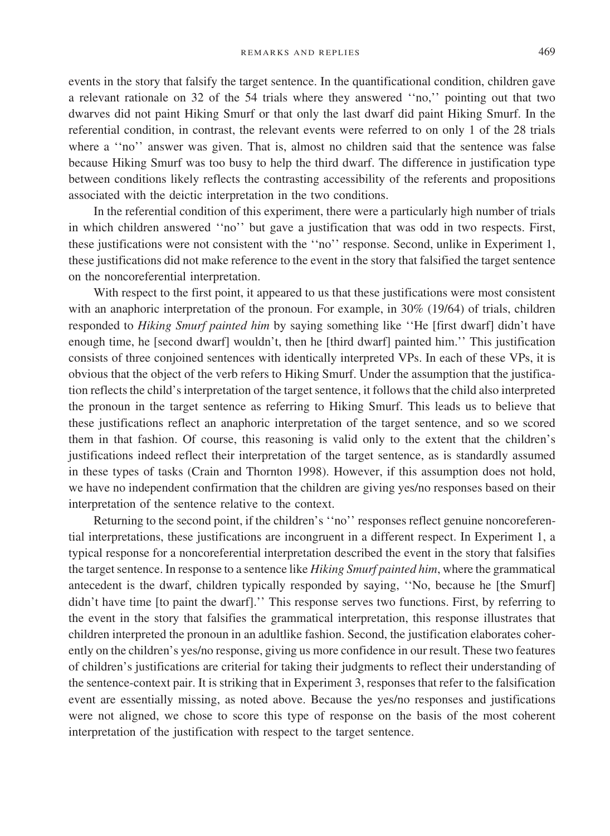events in the story that falsify the target sentence. In the quantificational condition, children gave a relevant rationale on 32 of the 54 trials where they answered ''no,'' pointing out that two dwarves did not paint Hiking Smurf or that only the last dwarf did paint Hiking Smurf. In the referential condition, in contrast, the relevant events were referred to on only 1 of the 28 trials where a ''no'' answer was given. That is, almost no children said that the sentence was false because Hiking Smurf was too busy to help the third dwarf. The difference in justification type between conditions likely reflects the contrasting accessibility of the referents and propositions associated with the deictic interpretation in the two conditions.

In the referential condition of this experiment, there were a particularly high number of trials in which children answered ''no'' but gave a justification that was odd in two respects. First, these justifications were not consistent with the ''no'' response. Second, unlike in Experiment 1, these justifications did not make reference to the event in the story that falsified the target sentence on the noncoreferential interpretation.

With respect to the first point, it appeared to us that these justifications were most consistent with an anaphoric interpretation of the pronoun. For example, in 30% (19/64) of trials, children responded to *Hiking Smurf painted him* by saying something like ''He [first dwarf] didn't have enough time, he [second dwarf] wouldn't, then he [third dwarf] painted him.'' This justification consists of three conjoined sentences with identically interpreted VPs. In each of these VPs, it is obvious that the object of the verb refers to Hiking Smurf. Under the assumption that the justification reflects the child's interpretation of the target sentence, it follows that the child also interpreted the pronoun in the target sentence as referring to Hiking Smurf. This leads us to believe that these justifications reflect an anaphoric interpretation of the target sentence, and so we scored them in that fashion. Of course, this reasoning is valid only to the extent that the children's justifications indeed reflect their interpretation of the target sentence, as is standardly assumed in these types of tasks (Crain and Thornton 1998). However, if this assumption does not hold, we have no independent confirmation that the children are giving yes/no responses based on their interpretation of the sentence relative to the context.

Returning to the second point, if the children's ''no'' responses reflect genuine noncoreferential interpretations, these justifications are incongruent in a different respect. In Experiment 1, a typical response for a noncoreferential interpretation described the event in the story that falsifies the target sentence. In response to a sentence like *Hiking Smurf painted him*, where the grammatical antecedent is the dwarf, children typically responded by saying, ''No, because he [the Smurf] didn't have time [to paint the dwarf].'' This response serves two functions. First, by referring to the event in the story that falsifies the grammatical interpretation, this response illustrates that children interpreted the pronoun in an adultlike fashion. Second, the justification elaborates coherently on the children's yes/no response, giving us more confidence in our result. These two features of children's justifications are criterial for taking their judgments to reflect their understanding of the sentence-context pair. It is striking that in Experiment 3, responses that refer to the falsification event are essentially missing, as noted above. Because the yes/no responses and justifications were not aligned, we chose to score this type of response on the basis of the most coherent interpretation of the justification with respect to the target sentence.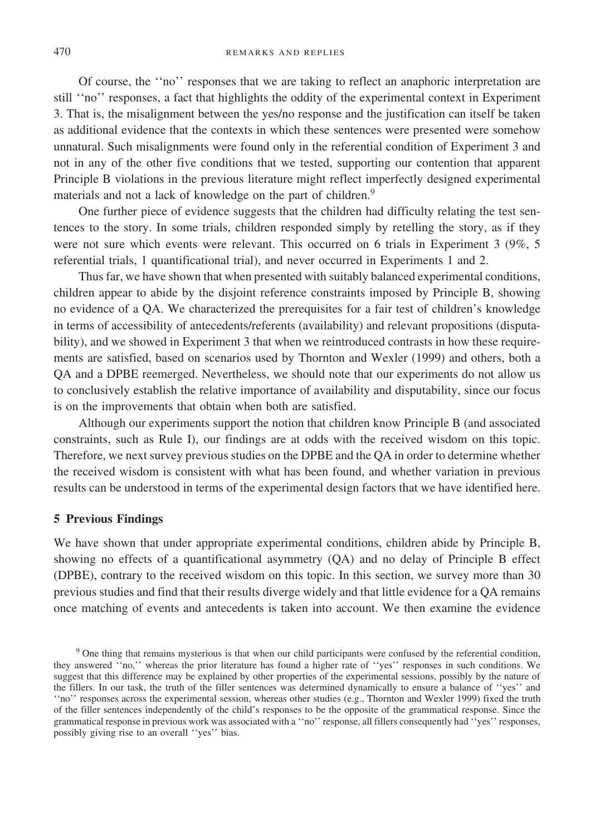Of course, the ''no'' responses that we are taking to reflect an anaphoric interpretation are still ''no'' responses, a fact that highlights the oddity of the experimental context in Experiment 3. That is, the misalignment between the yes/no response and the justification can itself be taken as additional evidence that the contexts in which these sentences were presented were somehow unnatural. Such misalignments were found only in the referential condition of Experiment 3 and not in any of the other five conditions that we tested, supporting our contention that apparent Principle B violations in the previous literature might reflect imperfectly designed experimental materials and not a lack of knowledge on the part of children.<sup>9</sup>

One further piece of evidence suggests that the children had difficulty relating the test sentences to the story. In some trials, children responded simply by retelling the story, as if they were not sure which events were relevant. This occurred on 6 trials in Experiment 3 (9%, 5 referential trials, 1 quantificational trial), and never occurred in Experiments 1 and 2.

Thus far, we have shown that when presented with suitably balanced experimental conditions, children appear to abide by the disjoint reference constraints imposed by Principle B, showing no evidence of a QA. We characterized the prerequisites for a fair test of children's knowledge in terms of accessibility of antecedents/referents (availability) and relevant propositions (disputability), and we showed in Experiment 3 that when we reintroduced contrasts in how these requirements are satisfied, based on scenarios used by Thornton and Wexler (1999) and others, both a QA and a DPBE reemerged. Nevertheless, we should note that our experiments do not allow us to conclusively establish the relative importance of availability and disputability, since our focus is on the improvements that obtain when both are satisfied.

Although our experiments support the notion that children know Principle B (and associated constraints, such as Rule I), our findings are at odds with the received wisdom on this topic. Therefore, we next survey previous studies on the DPBE and the QA in order to determine whether the received wisdom is consistent with what has been found, and whether variation in previous results can be understood in terms of the experimental design factors that we have identified here.

## **5 Previous Findings**

We have shown that under appropriate experimental conditions, children abide by Principle B, showing no effects of a quantificational asymmetry (QA) and no delay of Principle B effect (DPBE), contrary to the received wisdom on this topic. In this section, we survey more than 30 previous studies and find that their results diverge widely and that little evidence for a QA remains once matching of events and antecedents is taken into account. We then examine the evidence

<sup>9</sup> One thing that remains mysterious is that when our child participants were confused by the referential condition, they answered ''no,'' whereas the prior literature has found a higher rate of ''yes'' responses in such conditions. We suggest that this difference may be explained by other properties of the experimental sessions, possibly by the nature of the fillers. In our task, the truth of the filler sentences was determined dynamically to ensure a balance of ''yes'' and ''no'' responses across the experimental session, whereas other studies (e.g., Thornton and Wexler 1999) fixed the truth of the filler sentences independently of the child's responses to be the opposite of the grammatical response. Since the grammatical response in previous work was associated with a ''no'' response, all fillers consequently had ''yes'' responses, possibly giving rise to an overall ''yes'' bias.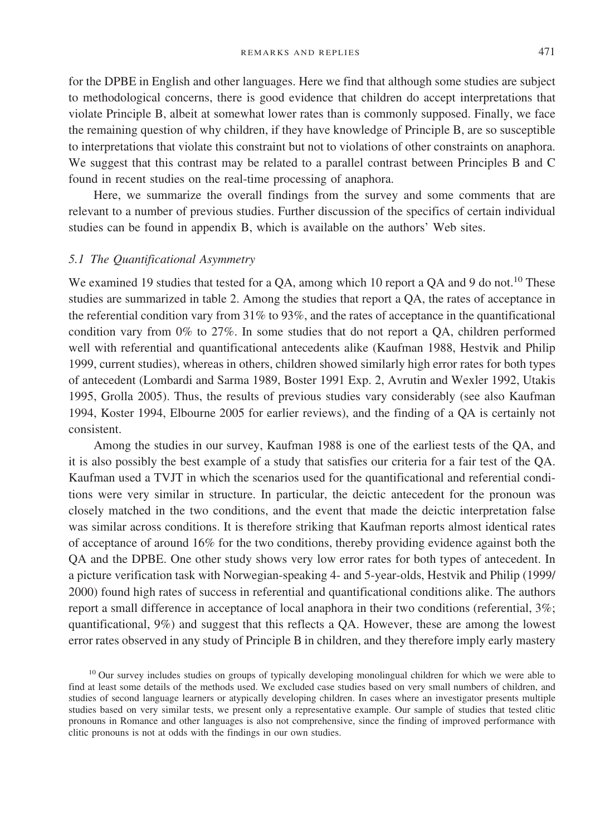for the DPBE in English and other languages. Here we find that although some studies are subject to methodological concerns, there is good evidence that children do accept interpretations that violate Principle B, albeit at somewhat lower rates than is commonly supposed. Finally, we face the remaining question of why children, if they have knowledge of Principle B, are so susceptible to interpretations that violate this constraint but not to violations of other constraints on anaphora. We suggest that this contrast may be related to a parallel contrast between Principles B and C found in recent studies on the real-time processing of anaphora.

Here, we summarize the overall findings from the survey and some comments that are relevant to a number of previous studies. Further discussion of the specifics of certain individual studies can be found in appendix B, which is available on the authors' Web sites.

#### *5.1 The Quantificational Asymmetry*

We examined 19 studies that tested for a QA, among which 10 report a QA and 9 do not.<sup>10</sup> These studies are summarized in table 2. Among the studies that report a QA, the rates of acceptance in the referential condition vary from 31% to 93%, and the rates of acceptance in the quantificational condition vary from 0% to 27%. In some studies that do not report a QA, children performed well with referential and quantificational antecedents alike (Kaufman 1988, Hestvik and Philip 1999, current studies), whereas in others, children showed similarly high error rates for both types of antecedent (Lombardi and Sarma 1989, Boster 1991 Exp. 2, Avrutin and Wexler 1992, Utakis 1995, Grolla 2005). Thus, the results of previous studies vary considerably (see also Kaufman 1994, Koster 1994, Elbourne 2005 for earlier reviews), and the finding of a QA is certainly not consistent.

Among the studies in our survey, Kaufman 1988 is one of the earliest tests of the QA, and it is also possibly the best example of a study that satisfies our criteria for a fair test of the QA. Kaufman used a TVJT in which the scenarios used for the quantificational and referential conditions were very similar in structure. In particular, the deictic antecedent for the pronoun was closely matched in the two conditions, and the event that made the deictic interpretation false was similar across conditions. It is therefore striking that Kaufman reports almost identical rates of acceptance of around 16% for the two conditions, thereby providing evidence against both the QA and the DPBE. One other study shows very low error rates for both types of antecedent. In a picture verification task with Norwegian-speaking 4- and 5-year-olds, Hestvik and Philip (1999/ 2000) found high rates of success in referential and quantificational conditions alike. The authors report a small difference in acceptance of local anaphora in their two conditions (referential, 3%; quantificational, 9%) and suggest that this reflects a QA. However, these are among the lowest error rates observed in any study of Principle B in children, and they therefore imply early mastery

<sup>&</sup>lt;sup>10</sup> Our survey includes studies on groups of typically developing monolingual children for which we were able to find at least some details of the methods used. We excluded case studies based on very small numbers of children, and studies of second language learners or atypically developing children. In cases where an investigator presents multiple studies based on very similar tests, we present only a representative example. Our sample of studies that tested clitic pronouns in Romance and other languages is also not comprehensive, since the finding of improved performance with clitic pronouns is not at odds with the findings in our own studies.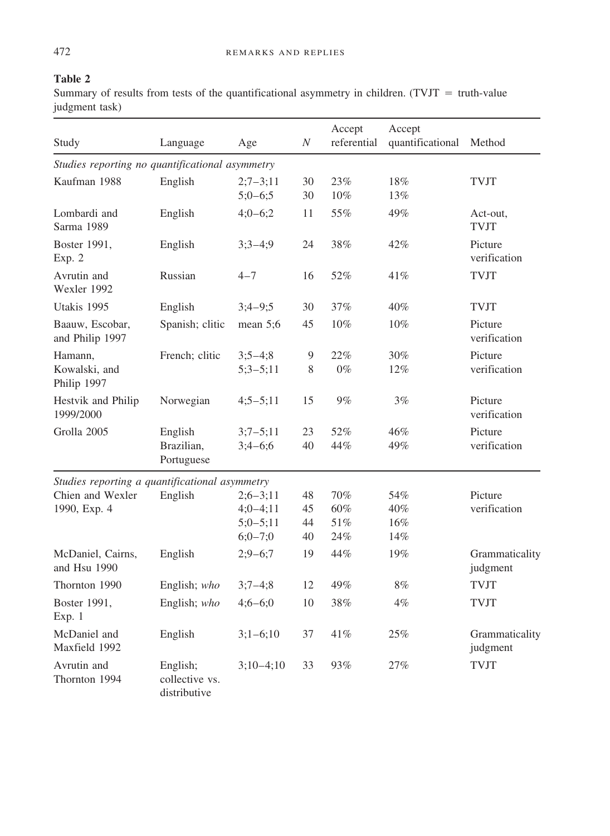# **Table 2**

Summary of results from tests of the quantificational asymmetry in children. (TVJT  $=$  truth-value judgment task)

| Study                                           | Language                                   | Age                                                 | $\boldsymbol{N}$     | Accept<br>referential    | Accept<br>quantificational | Method                     |
|-------------------------------------------------|--------------------------------------------|-----------------------------------------------------|----------------------|--------------------------|----------------------------|----------------------------|
| Studies reporting no quantificational asymmetry |                                            |                                                     |                      |                          |                            |                            |
| Kaufman 1988                                    | English                                    | $2;7-3;11$<br>$5;0-6;5$                             | 30<br>30             | 23%<br>$10\%$            | 18%<br>13%                 | <b>TVJT</b>                |
| Lombardi and<br>Sarma 1989                      | English                                    | $4;0-6;2$                                           | 11                   | 55%                      | 49%                        | Act-out,<br><b>TVJT</b>    |
| Boster 1991,<br>Exp. 2                          | English                                    | $3;3-4;9$                                           | 24                   | 38%                      | 42%                        | Picture<br>verification    |
| Avrutin and<br>Wexler 1992                      | Russian                                    | $4 - 7$                                             | 16                   | 52%                      | 41%                        | <b>TVJT</b>                |
| Utakis 1995                                     | English                                    | $3;4-9;5$                                           | 30                   | 37%                      | 40%                        | TVJT                       |
| Baauw, Escobar,<br>and Philip 1997              | Spanish; clitic                            | mean $5;6$                                          | 45                   | $10\%$                   | 10%                        | Picture<br>verification    |
| Hamann,<br>Kowalski, and<br>Philip 1997         | French; clitic                             | $3;5-4;8$<br>$5;3-5;11$                             | 9<br>8               | 22%<br>$0\%$             | 30%<br>12%                 | Picture<br>verification    |
| Hestvik and Philip<br>1999/2000                 | Norwegian                                  | $4:5-5:11$                                          | 15                   | $9\%$                    | 3%                         | Picture<br>verification    |
| Grolla 2005                                     | English<br>Brazilian.<br>Portuguese        | $3:7-5:11$<br>$3:4-6:6$                             | 23<br>40             | 52%<br>44%               | 46%<br>49%                 | Picture<br>verification    |
| Studies reporting a quantificational asymmetry  |                                            |                                                     |                      |                          |                            |                            |
| Chien and Wexler<br>1990, Exp. 4                | English                                    | $2:6-3:11$<br>$4:0-4:11$<br>$5;0-5;11$<br>$6;0-7;0$ | 48<br>45<br>44<br>40 | 70%<br>60%<br>51%<br>24% | 54%<br>40%<br>16%<br>14%   | Picture<br>verification    |
| McDaniel, Cairns,<br>and Hsu 1990               | English                                    | $2;9-6;7$                                           | 19                   | 44%                      | 19%                        | Grammaticality<br>judgment |
| Thornton 1990                                   | English; who                               | $3;7-4;8$                                           | 12                   | 49%                      | 8%                         | <b>TVJT</b>                |
| Boster 1991,<br>Exp. 1                          | English; who                               | $4;6 - 6;0$                                         | 10                   | 38%                      | $4\%$                      | TVJT                       |
| McDaniel and<br>Maxfield 1992                   | English                                    | $3;1-6;10$                                          | 37                   | 41%                      | 25%                        | Grammaticality<br>judgment |
| Avrutin and<br>Thornton 1994                    | English;<br>collective vs.<br>distributive | $3;10-4;10$                                         | 33                   | 93%                      | 27%                        | <b>TVJT</b>                |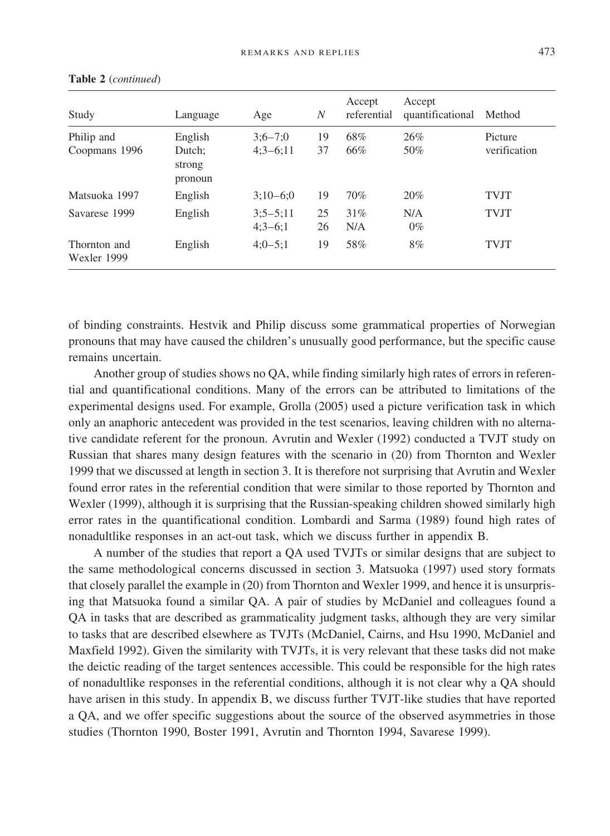| Study                       | Language                               | Age                       | N        | Accept<br>referential | Accept<br>quantificational | Method                  |
|-----------------------------|----------------------------------------|---------------------------|----------|-----------------------|----------------------------|-------------------------|
| Philip and<br>Coopmans 1996 | English<br>Dutch:<br>strong<br>pronoun | $3:6 - 7:0$<br>$4:3-6:11$ | 19<br>37 | 68%<br>66%            | 26%<br>50%                 | Picture<br>verification |
| Matsuoka 1997               | English                                | $3:10-6:0$                | 19       | 70%                   | 20%                        | <b>TVJT</b>             |
| Savarese 1999               | English                                | $3:5-5:11$<br>$4:3-6:1$   | 25<br>26 | 31%<br>N/A            | N/A<br>$0\%$               | <b>TVJT</b>             |
| Thornton and<br>Wexler 1999 | English                                | $4:0-5:1$                 | 19       | 58%                   | 8%                         | TVJT                    |

|  |  | <b>Table 2</b> (continued) |  |
|--|--|----------------------------|--|
|--|--|----------------------------|--|

of binding constraints. Hestvik and Philip discuss some grammatical properties of Norwegian pronouns that may have caused the children's unusually good performance, but the specific cause remains uncertain.

Another group of studies shows no QA, while finding similarly high rates of errors in referential and quantificational conditions. Many of the errors can be attributed to limitations of the experimental designs used. For example, Grolla (2005) used a picture verification task in which only an anaphoric antecedent was provided in the test scenarios, leaving children with no alternative candidate referent for the pronoun. Avrutin and Wexler (1992) conducted a TVJT study on Russian that shares many design features with the scenario in (20) from Thornton and Wexler 1999 that we discussed at length in section 3. It is therefore not surprising that Avrutin and Wexler found error rates in the referential condition that were similar to those reported by Thornton and Wexler (1999), although it is surprising that the Russian-speaking children showed similarly high error rates in the quantificational condition. Lombardi and Sarma (1989) found high rates of nonadultlike responses in an act-out task, which we discuss further in appendix B.

A number of the studies that report a QA used TVJTs or similar designs that are subject to the same methodological concerns discussed in section 3. Matsuoka (1997) used story formats that closely parallel the example in (20) from Thornton and Wexler 1999, and hence it is unsurprising that Matsuoka found a similar QA. A pair of studies by McDaniel and colleagues found a QA in tasks that are described as grammaticality judgment tasks, although they are very similar to tasks that are described elsewhere as TVJTs (McDaniel, Cairns, and Hsu 1990, McDaniel and Maxfield 1992). Given the similarity with TVJTs, it is very relevant that these tasks did not make the deictic reading of the target sentences accessible. This could be responsible for the high rates of nonadultlike responses in the referential conditions, although it is not clear why a QA should have arisen in this study. In appendix B, we discuss further TVJT-like studies that have reported a QA, and we offer specific suggestions about the source of the observed asymmetries in those studies (Thornton 1990, Boster 1991, Avrutin and Thornton 1994, Savarese 1999).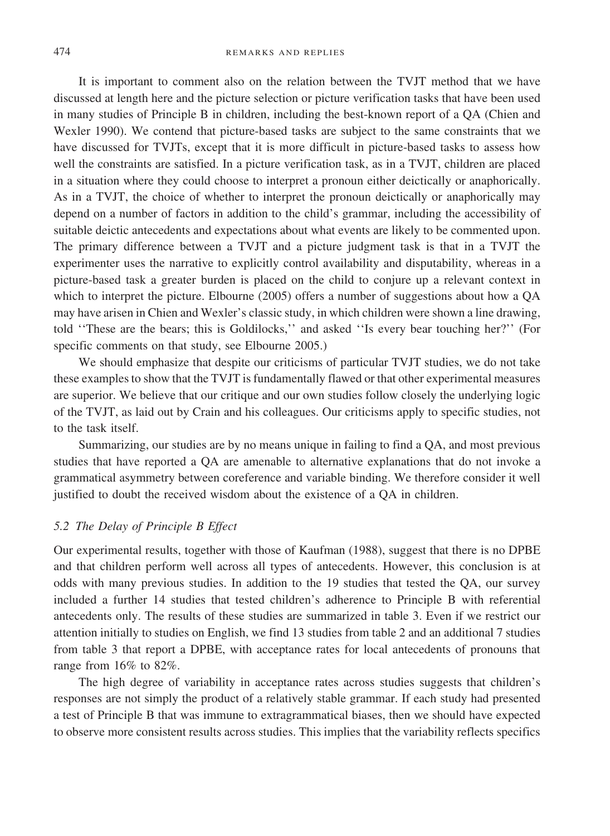It is important to comment also on the relation between the TVJT method that we have discussed at length here and the picture selection or picture verification tasks that have been used in many studies of Principle B in children, including the best-known report of a QA (Chien and Wexler 1990). We contend that picture-based tasks are subject to the same constraints that we have discussed for TVJTs, except that it is more difficult in picture-based tasks to assess how well the constraints are satisfied. In a picture verification task, as in a TVJT, children are placed in a situation where they could choose to interpret a pronoun either deictically or anaphorically. As in a TVJT, the choice of whether to interpret the pronoun deictically or anaphorically may depend on a number of factors in addition to the child's grammar, including the accessibility of suitable deictic antecedents and expectations about what events are likely to be commented upon. The primary difference between a TVJT and a picture judgment task is that in a TVJT the experimenter uses the narrative to explicitly control availability and disputability, whereas in a picture-based task a greater burden is placed on the child to conjure up a relevant context in which to interpret the picture. Elbourne (2005) offers a number of suggestions about how a QA may have arisen in Chien and Wexler's classic study, in which children were shown a line drawing, told ''These are the bears; this is Goldilocks,'' and asked ''Is every bear touching her?'' (For specific comments on that study, see Elbourne 2005.)

We should emphasize that despite our criticisms of particular TVJT studies, we do not take these examples to show that the TVJT is fundamentally flawed or that other experimental measures are superior. We believe that our critique and our own studies follow closely the underlying logic of the TVJT, as laid out by Crain and his colleagues. Our criticisms apply to specific studies, not to the task itself.

Summarizing, our studies are by no means unique in failing to find a QA, and most previous studies that have reported a QA are amenable to alternative explanations that do not invoke a grammatical asymmetry between coreference and variable binding. We therefore consider it well justified to doubt the received wisdom about the existence of a QA in children.

# *5.2 The Delay of Principle B Effect*

Our experimental results, together with those of Kaufman (1988), suggest that there is no DPBE and that children perform well across all types of antecedents. However, this conclusion is at odds with many previous studies. In addition to the 19 studies that tested the QA, our survey included a further 14 studies that tested children's adherence to Principle B with referential antecedents only. The results of these studies are summarized in table 3. Even if we restrict our attention initially to studies on English, we find 13 studies from table 2 and an additional 7 studies from table 3 that report a DPBE, with acceptance rates for local antecedents of pronouns that range from 16% to 82%.

The high degree of variability in acceptance rates across studies suggests that children's responses are not simply the product of a relatively stable grammar. If each study had presented a test of Principle B that was immune to extragrammatical biases, then we should have expected to observe more consistent results across studies. This implies that the variability reflects specifics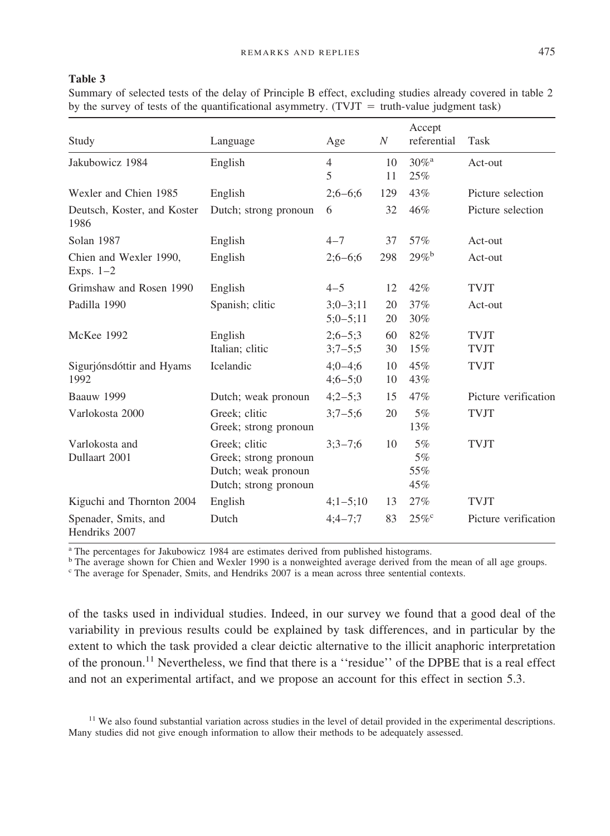### **Table 3**

Summary of selected tests of the delay of Principle B effect, excluding studies already covered in table 2 by the survey of tests of the quantificational asymmetry. (TVJT  $=$  truth-value judgment task)

| Study                                 | Language                                                                               | Age                      | N        | Accept<br>referential      | Task                       |
|---------------------------------------|----------------------------------------------------------------------------------------|--------------------------|----------|----------------------------|----------------------------|
| Jakubowicz 1984                       | English                                                                                | $\overline{4}$<br>5      | 10<br>11 | $30\%$ <sup>a</sup><br>25% | Act-out                    |
| Wexler and Chien 1985                 | English                                                                                | $2;6-6;6$                | 129      | 43%                        | Picture selection          |
| Deutsch, Koster, and Koster<br>1986   | Dutch; strong pronoun                                                                  | 6                        | 32       | 46%                        | Picture selection          |
| Solan 1987                            | English                                                                                | $4 - 7$                  | 37       | 57%                        | Act-out                    |
| Chien and Wexler 1990,<br>Exps. $1-2$ | English                                                                                | $2:6-6:6$                | 298      | $29\%$ <sup>b</sup>        | Act-out                    |
| Grimshaw and Rosen 1990               | English                                                                                | $4 - 5$                  | 12       | 42%                        | <b>TVJT</b>                |
| Padilla 1990                          | Spanish; clitic                                                                        | $3:0-3:11$<br>$5:0-5:11$ | 20<br>20 | 37%<br>30%                 | Act-out                    |
| McKee 1992                            | English<br>Italian; clitic                                                             | $2:6 - 5:3$<br>$3;7-5;5$ | 60<br>30 | 82%<br>15%                 | <b>TVJT</b><br><b>TVJT</b> |
| Sigurjónsdóttir and Hyams<br>1992     | Icelandic                                                                              | $4:0-4:6$<br>$4;6 - 5;0$ | 10<br>10 | 45%<br>43%                 | <b>TVJT</b>                |
| Baauw 1999                            | Dutch; weak pronoun                                                                    | $4;2-5;3$                | 15       | 47%                        | Picture verification       |
| Varlokosta 2000                       | Greek; clitic<br>Greek; strong pronoun                                                 | $3:7-5:6$                | 20       | 5%<br>13%                  | <b>TVJT</b>                |
| Varlokosta and<br>Dullaart 2001       | Greek; clitic<br>Greek; strong pronoun<br>Dutch; weak pronoun<br>Dutch; strong pronoun | $3:3 - 7:6$              | 10       | 5%<br>5%<br>55%<br>45%     | <b>TVJT</b>                |
| Kiguchi and Thornton 2004             | English                                                                                | $4:1-5:10$               | 13       | 27%                        | <b>TVJT</b>                |
| Spenader, Smits, and<br>Hendriks 2007 | Dutch                                                                                  | $4:4 - 7:7$              | 83       | $25\%$                     | Picture verification       |

<sup>a</sup> The percentages for Jakubowicz 1984 are estimates derived from published histograms.

<sup>b</sup> The average shown for Chien and Wexler 1990 is a nonweighted average derived from the mean of all age groups.

<sup>c</sup> The average for Spenader, Smits, and Hendriks 2007 is a mean across three sentential contexts.

of the tasks used in individual studies. Indeed, in our survey we found that a good deal of the variability in previous results could be explained by task differences, and in particular by the extent to which the task provided a clear deictic alternative to the illicit anaphoric interpretation of the pronoun.<sup>11</sup> Nevertheless, we find that there is a ''residue'' of the DPBE that is a real effect and not an experimental artifact, and we propose an account for this effect in section 5.3.

<sup>11</sup> We also found substantial variation across studies in the level of detail provided in the experimental descriptions. Many studies did not give enough information to allow their methods to be adequately assessed.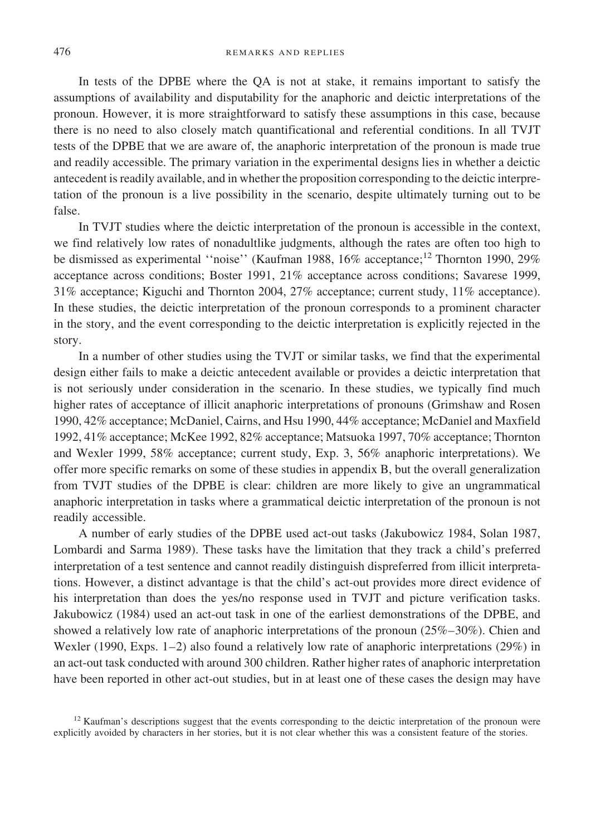476 REMARKS AND REPLIES

In tests of the DPBE where the QA is not at stake, it remains important to satisfy the assumptions of availability and disputability for the anaphoric and deictic interpretations of the pronoun. However, it is more straightforward to satisfy these assumptions in this case, because there is no need to also closely match quantificational and referential conditions. In all TVJT tests of the DPBE that we are aware of, the anaphoric interpretation of the pronoun is made true and readily accessible. The primary variation in the experimental designs lies in whether a deictic antecedent is readily available, and in whether the proposition corresponding to the deictic interpretation of the pronoun is a live possibility in the scenario, despite ultimately turning out to be false.

In TVJT studies where the deictic interpretation of the pronoun is accessible in the context, we find relatively low rates of nonadultlike judgments, although the rates are often too high to be dismissed as experimental "noise" (Kaufman 1988, 16% acceptance;<sup>12</sup> Thornton 1990, 29% acceptance across conditions; Boster 1991, 21% acceptance across conditions; Savarese 1999, 31% acceptance; Kiguchi and Thornton 2004, 27% acceptance; current study, 11% acceptance). In these studies, the deictic interpretation of the pronoun corresponds to a prominent character in the story, and the event corresponding to the deictic interpretation is explicitly rejected in the story.

In a number of other studies using the TVJT or similar tasks, we find that the experimental design either fails to make a deictic antecedent available or provides a deictic interpretation that is not seriously under consideration in the scenario. In these studies, we typically find much higher rates of acceptance of illicit anaphoric interpretations of pronouns (Grimshaw and Rosen 1990, 42% acceptance; McDaniel, Cairns, and Hsu 1990, 44% acceptance; McDaniel and Maxfield 1992, 41% acceptance; McKee 1992, 82% acceptance; Matsuoka 1997, 70% acceptance; Thornton and Wexler 1999, 58% acceptance; current study, Exp. 3, 56% anaphoric interpretations). We offer more specific remarks on some of these studies in appendix B, but the overall generalization from TVJT studies of the DPBE is clear: children are more likely to give an ungrammatical anaphoric interpretation in tasks where a grammatical deictic interpretation of the pronoun is not readily accessible.

A number of early studies of the DPBE used act-out tasks (Jakubowicz 1984, Solan 1987, Lombardi and Sarma 1989). These tasks have the limitation that they track a child's preferred interpretation of a test sentence and cannot readily distinguish dispreferred from illicit interpretations. However, a distinct advantage is that the child's act-out provides more direct evidence of his interpretation than does the yes/no response used in TVJT and picture verification tasks. Jakubowicz (1984) used an act-out task in one of the earliest demonstrations of the DPBE, and showed a relatively low rate of anaphoric interpretations of the pronoun (25%–30%). Chien and Wexler (1990, Exps. 1–2) also found a relatively low rate of anaphoric interpretations (29%) in an act-out task conducted with around 300 children. Rather higher rates of anaphoric interpretation have been reported in other act-out studies, but in at least one of these cases the design may have

 $12$  Kaufman's descriptions suggest that the events corresponding to the deictic interpretation of the pronoun were explicitly avoided by characters in her stories, but it is not clear whether this was a consistent feature of the stories.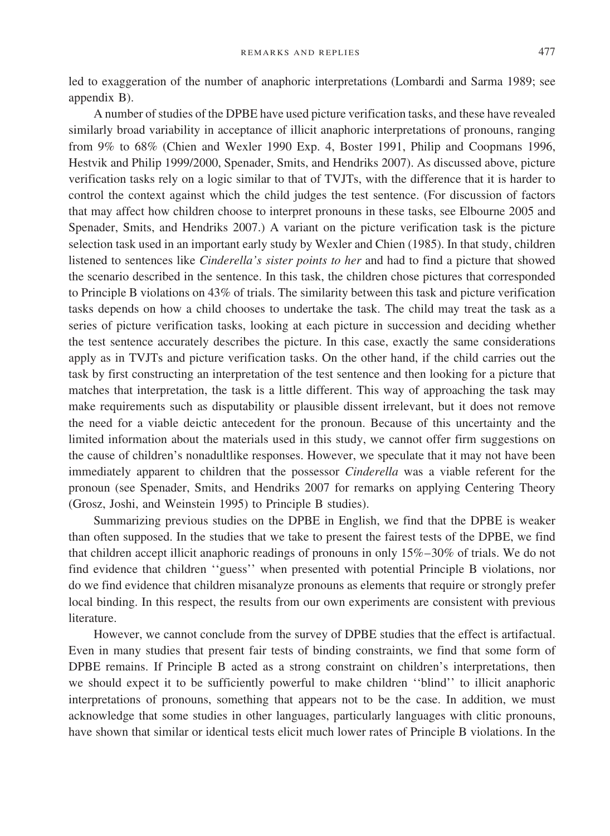led to exaggeration of the number of anaphoric interpretations (Lombardi and Sarma 1989; see appendix B).

A number of studies of the DPBE have used picture verification tasks, and these have revealed similarly broad variability in acceptance of illicit anaphoric interpretations of pronouns, ranging from 9% to 68% (Chien and Wexler 1990 Exp. 4, Boster 1991, Philip and Coopmans 1996, Hestvik and Philip 1999/2000, Spenader, Smits, and Hendriks 2007). As discussed above, picture verification tasks rely on a logic similar to that of TVJTs, with the difference that it is harder to control the context against which the child judges the test sentence. (For discussion of factors that may affect how children choose to interpret pronouns in these tasks, see Elbourne 2005 and Spenader, Smits, and Hendriks 2007.) A variant on the picture verification task is the picture selection task used in an important early study by Wexler and Chien (1985). In that study, children listened to sentences like *Cinderella's sister points to her* and had to find a picture that showed the scenario described in the sentence. In this task, the children chose pictures that corresponded to Principle B violations on 43% of trials. The similarity between this task and picture verification tasks depends on how a child chooses to undertake the task. The child may treat the task as a series of picture verification tasks, looking at each picture in succession and deciding whether the test sentence accurately describes the picture. In this case, exactly the same considerations apply as in TVJTs and picture verification tasks. On the other hand, if the child carries out the task by first constructing an interpretation of the test sentence and then looking for a picture that matches that interpretation, the task is a little different. This way of approaching the task may make requirements such as disputability or plausible dissent irrelevant, but it does not remove the need for a viable deictic antecedent for the pronoun. Because of this uncertainty and the limited information about the materials used in this study, we cannot offer firm suggestions on the cause of children's nonadultlike responses. However, we speculate that it may not have been immediately apparent to children that the possessor *Cinderella* was a viable referent for the pronoun (see Spenader, Smits, and Hendriks 2007 for remarks on applying Centering Theory (Grosz, Joshi, and Weinstein 1995) to Principle B studies).

Summarizing previous studies on the DPBE in English, we find that the DPBE is weaker than often supposed. In the studies that we take to present the fairest tests of the DPBE, we find that children accept illicit anaphoric readings of pronouns in only 15%–30% of trials. We do not find evidence that children ''guess'' when presented with potential Principle B violations, nor do we find evidence that children misanalyze pronouns as elements that require or strongly prefer local binding. In this respect, the results from our own experiments are consistent with previous literature.

However, we cannot conclude from the survey of DPBE studies that the effect is artifactual. Even in many studies that present fair tests of binding constraints, we find that some form of DPBE remains. If Principle B acted as a strong constraint on children's interpretations, then we should expect it to be sufficiently powerful to make children ''blind'' to illicit anaphoric interpretations of pronouns, something that appears not to be the case. In addition, we must acknowledge that some studies in other languages, particularly languages with clitic pronouns, have shown that similar or identical tests elicit much lower rates of Principle B violations. In the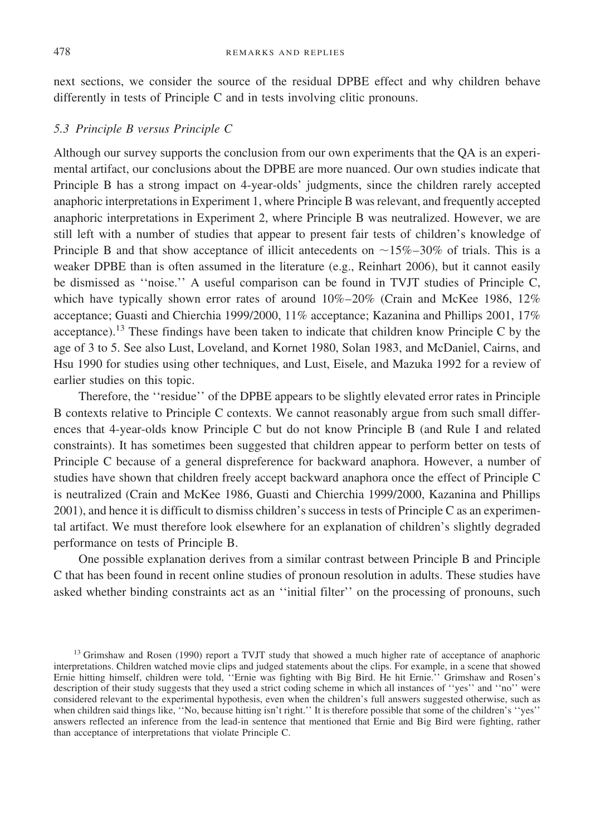next sections, we consider the source of the residual DPBE effect and why children behave differently in tests of Principle C and in tests involving clitic pronouns.

# *5.3 Principle B versus Principle C*

Although our survey supports the conclusion from our own experiments that the QA is an experimental artifact, our conclusions about the DPBE are more nuanced. Our own studies indicate that Principle B has a strong impact on 4-year-olds' judgments, since the children rarely accepted anaphoric interpretations in Experiment 1, where Principle B was relevant, and frequently accepted anaphoric interpretations in Experiment 2, where Principle B was neutralized. However, we are still left with a number of studies that appear to present fair tests of children's knowledge of Principle B and that show acceptance of illicit antecedents on  $\sim$ 15%–30% of trials. This is a weaker DPBE than is often assumed in the literature (e.g., Reinhart 2006), but it cannot easily be dismissed as ''noise.'' A useful comparison can be found in TVJT studies of Principle C, which have typically shown error rates of around  $10\% - 20\%$  (Crain and McKee 1986, 12%) acceptance; Guasti and Chierchia 1999/2000, 11% acceptance; Kazanina and Phillips 2001, 17% acceptance).<sup>13</sup> These findings have been taken to indicate that children know Principle C by the age of 3 to 5. See also Lust, Loveland, and Kornet 1980, Solan 1983, and McDaniel, Cairns, and Hsu 1990 for studies using other techniques, and Lust, Eisele, and Mazuka 1992 for a review of earlier studies on this topic.

Therefore, the ''residue'' of the DPBE appears to be slightly elevated error rates in Principle B contexts relative to Principle C contexts. We cannot reasonably argue from such small differences that 4-year-olds know Principle C but do not know Principle B (and Rule I and related constraints). It has sometimes been suggested that children appear to perform better on tests of Principle C because of a general dispreference for backward anaphora. However, a number of studies have shown that children freely accept backward anaphora once the effect of Principle C is neutralized (Crain and McKee 1986, Guasti and Chierchia 1999/2000, Kazanina and Phillips 2001), and hence it is difficult to dismiss children's success in tests of Principle C as an experimental artifact. We must therefore look elsewhere for an explanation of children's slightly degraded performance on tests of Principle B.

One possible explanation derives from a similar contrast between Principle B and Principle C that has been found in recent online studies of pronoun resolution in adults. These studies have asked whether binding constraints act as an ''initial filter'' on the processing of pronouns, such

<sup>&</sup>lt;sup>13</sup> Grimshaw and Rosen (1990) report a TVJT study that showed a much higher rate of acceptance of anaphoric interpretations. Children watched movie clips and judged statements about the clips. For example, in a scene that showed Ernie hitting himself, children were told, ''Ernie was fighting with Big Bird. He hit Ernie.'' Grimshaw and Rosen's description of their study suggests that they used a strict coding scheme in which all instances of ''yes'' and ''no'' were considered relevant to the experimental hypothesis, even when the children's full answers suggested otherwise, such as when children said things like, ''No, because hitting isn't right.'' It is therefore possible that some of the children's ''yes'' answers reflected an inference from the lead-in sentence that mentioned that Ernie and Big Bird were fighting, rather than acceptance of interpretations that violate Principle C.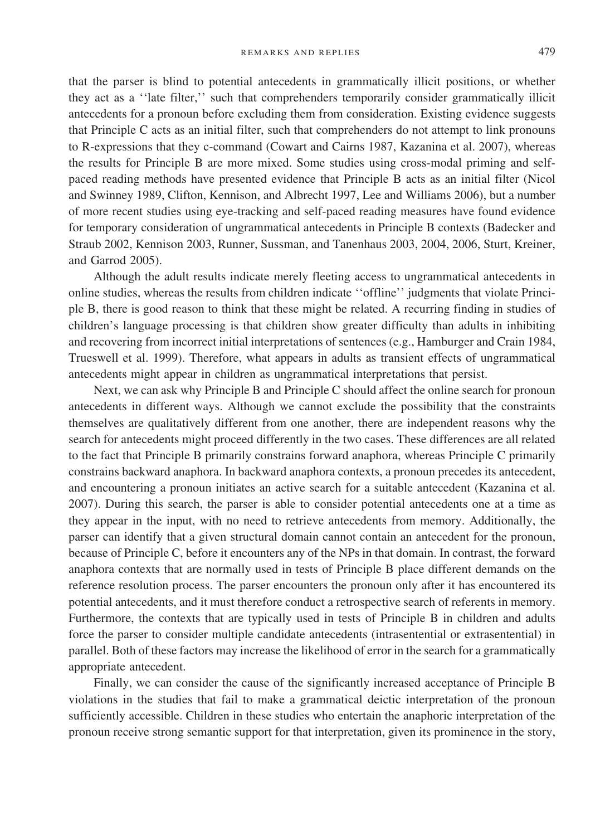that the parser is blind to potential antecedents in grammatically illicit positions, or whether they act as a ''late filter,'' such that comprehenders temporarily consider grammatically illicit antecedents for a pronoun before excluding them from consideration. Existing evidence suggests that Principle C acts as an initial filter, such that comprehenders do not attempt to link pronouns to R-expressions that they c-command (Cowart and Cairns 1987, Kazanina et al. 2007), whereas the results for Principle B are more mixed. Some studies using cross-modal priming and selfpaced reading methods have presented evidence that Principle B acts as an initial filter (Nicol and Swinney 1989, Clifton, Kennison, and Albrecht 1997, Lee and Williams 2006), but a number of more recent studies using eye-tracking and self-paced reading measures have found evidence for temporary consideration of ungrammatical antecedents in Principle B contexts (Badecker and Straub 2002, Kennison 2003, Runner, Sussman, and Tanenhaus 2003, 2004, 2006, Sturt, Kreiner, and Garrod 2005).

Although the adult results indicate merely fleeting access to ungrammatical antecedents in online studies, whereas the results from children indicate ''offline'' judgments that violate Principle B, there is good reason to think that these might be related. A recurring finding in studies of children's language processing is that children show greater difficulty than adults in inhibiting and recovering from incorrect initial interpretations of sentences (e.g., Hamburger and Crain 1984, Trueswell et al. 1999). Therefore, what appears in adults as transient effects of ungrammatical antecedents might appear in children as ungrammatical interpretations that persist.

Next, we can ask why Principle B and Principle C should affect the online search for pronoun antecedents in different ways. Although we cannot exclude the possibility that the constraints themselves are qualitatively different from one another, there are independent reasons why the search for antecedents might proceed differently in the two cases. These differences are all related to the fact that Principle B primarily constrains forward anaphora, whereas Principle C primarily constrains backward anaphora. In backward anaphora contexts, a pronoun precedes its antecedent, and encountering a pronoun initiates an active search for a suitable antecedent (Kazanina et al. 2007). During this search, the parser is able to consider potential antecedents one at a time as they appear in the input, with no need to retrieve antecedents from memory. Additionally, the parser can identify that a given structural domain cannot contain an antecedent for the pronoun, because of Principle C, before it encounters any of the NPs in that domain. In contrast, the forward anaphora contexts that are normally used in tests of Principle B place different demands on the reference resolution process. The parser encounters the pronoun only after it has encountered its potential antecedents, and it must therefore conduct a retrospective search of referents in memory. Furthermore, the contexts that are typically used in tests of Principle B in children and adults force the parser to consider multiple candidate antecedents (intrasentential or extrasentential) in parallel. Both of these factors may increase the likelihood of error in the search for a grammatically appropriate antecedent.

Finally, we can consider the cause of the significantly increased acceptance of Principle B violations in the studies that fail to make a grammatical deictic interpretation of the pronoun sufficiently accessible. Children in these studies who entertain the anaphoric interpretation of the pronoun receive strong semantic support for that interpretation, given its prominence in the story,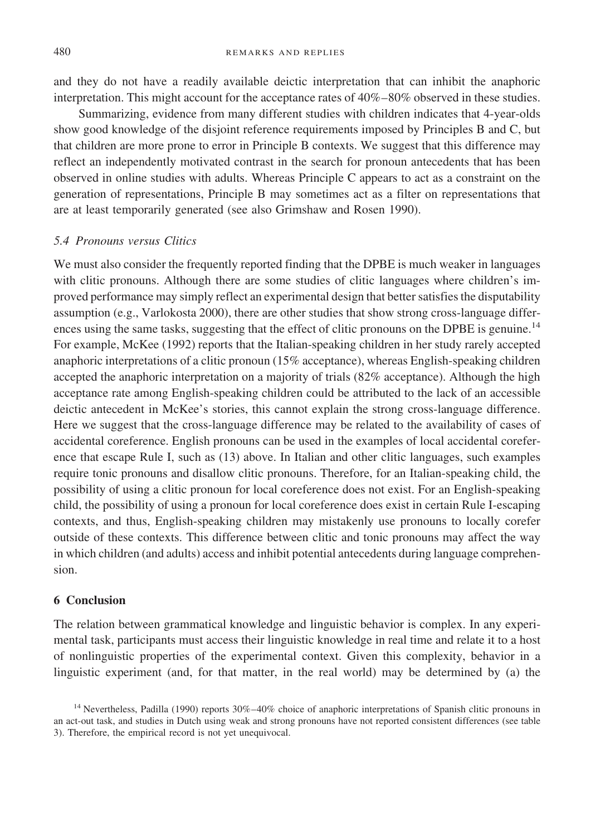and they do not have a readily available deictic interpretation that can inhibit the anaphoric interpretation. This might account for the acceptance rates of 40%–80% observed in these studies.

Summarizing, evidence from many different studies with children indicates that 4-year-olds show good knowledge of the disjoint reference requirements imposed by Principles B and C, but that children are more prone to error in Principle B contexts. We suggest that this difference may reflect an independently motivated contrast in the search for pronoun antecedents that has been observed in online studies with adults. Whereas Principle C appears to act as a constraint on the generation of representations, Principle B may sometimes act as a filter on representations that are at least temporarily generated (see also Grimshaw and Rosen 1990).

### *5.4 Pronouns versus Clitics*

We must also consider the frequently reported finding that the DPBE is much weaker in languages with clitic pronouns. Although there are some studies of clitic languages where children's improved performance may simply reflect an experimental design that better satisfies the disputability assumption (e.g., Varlokosta 2000), there are other studies that show strong cross-language differences using the same tasks, suggesting that the effect of clitic pronouns on the DPBE is genuine.<sup>14</sup> For example, McKee (1992) reports that the Italian-speaking children in her study rarely accepted anaphoric interpretations of a clitic pronoun (15% acceptance), whereas English-speaking children accepted the anaphoric interpretation on a majority of trials (82% acceptance). Although the high acceptance rate among English-speaking children could be attributed to the lack of an accessible deictic antecedent in McKee's stories, this cannot explain the strong cross-language difference. Here we suggest that the cross-language difference may be related to the availability of cases of accidental coreference. English pronouns can be used in the examples of local accidental coreference that escape Rule I, such as (13) above. In Italian and other clitic languages, such examples require tonic pronouns and disallow clitic pronouns. Therefore, for an Italian-speaking child, the possibility of using a clitic pronoun for local coreference does not exist. For an English-speaking child, the possibility of using a pronoun for local coreference does exist in certain Rule I-escaping contexts, and thus, English-speaking children may mistakenly use pronouns to locally corefer outside of these contexts. This difference between clitic and tonic pronouns may affect the way in which children (and adults) access and inhibit potential antecedents during language comprehension.

### **6 Conclusion**

The relation between grammatical knowledge and linguistic behavior is complex. In any experimental task, participants must access their linguistic knowledge in real time and relate it to a host of nonlinguistic properties of the experimental context. Given this complexity, behavior in a linguistic experiment (and, for that matter, in the real world) may be determined by (a) the

<sup>14</sup> Nevertheless, Padilla (1990) reports 30%–40% choice of anaphoric interpretations of Spanish clitic pronouns in an act-out task, and studies in Dutch using weak and strong pronouns have not reported consistent differences (see table 3). Therefore, the empirical record is not yet unequivocal.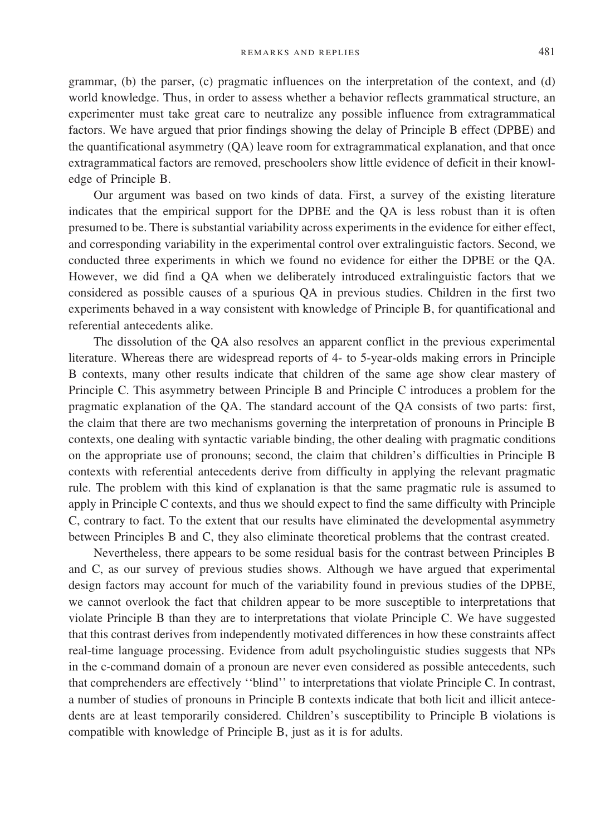grammar, (b) the parser, (c) pragmatic influences on the interpretation of the context, and (d) world knowledge. Thus, in order to assess whether a behavior reflects grammatical structure, an experimenter must take great care to neutralize any possible influence from extragrammatical factors. We have argued that prior findings showing the delay of Principle B effect (DPBE) and the quantificational asymmetry (QA) leave room for extragrammatical explanation, and that once extragrammatical factors are removed, preschoolers show little evidence of deficit in their knowledge of Principle B.

Our argument was based on two kinds of data. First, a survey of the existing literature indicates that the empirical support for the DPBE and the QA is less robust than it is often presumed to be. There is substantial variability across experiments in the evidence for either effect, and corresponding variability in the experimental control over extralinguistic factors. Second, we conducted three experiments in which we found no evidence for either the DPBE or the QA. However, we did find a QA when we deliberately introduced extralinguistic factors that we considered as possible causes of a spurious QA in previous studies. Children in the first two experiments behaved in a way consistent with knowledge of Principle B, for quantificational and referential antecedents alike.

The dissolution of the QA also resolves an apparent conflict in the previous experimental literature. Whereas there are widespread reports of 4- to 5-year-olds making errors in Principle B contexts, many other results indicate that children of the same age show clear mastery of Principle C. This asymmetry between Principle B and Principle C introduces a problem for the pragmatic explanation of the QA. The standard account of the QA consists of two parts: first, the claim that there are two mechanisms governing the interpretation of pronouns in Principle B contexts, one dealing with syntactic variable binding, the other dealing with pragmatic conditions on the appropriate use of pronouns; second, the claim that children's difficulties in Principle B contexts with referential antecedents derive from difficulty in applying the relevant pragmatic rule. The problem with this kind of explanation is that the same pragmatic rule is assumed to apply in Principle C contexts, and thus we should expect to find the same difficulty with Principle C, contrary to fact. To the extent that our results have eliminated the developmental asymmetry between Principles B and C, they also eliminate theoretical problems that the contrast created.

Nevertheless, there appears to be some residual basis for the contrast between Principles B and C, as our survey of previous studies shows. Although we have argued that experimental design factors may account for much of the variability found in previous studies of the DPBE, we cannot overlook the fact that children appear to be more susceptible to interpretations that violate Principle B than they are to interpretations that violate Principle C. We have suggested that this contrast derives from independently motivated differences in how these constraints affect real-time language processing. Evidence from adult psycholinguistic studies suggests that NPs in the c-command domain of a pronoun are never even considered as possible antecedents, such that comprehenders are effectively ''blind'' to interpretations that violate Principle C. In contrast, a number of studies of pronouns in Principle B contexts indicate that both licit and illicit antecedents are at least temporarily considered. Children's susceptibility to Principle B violations is compatible with knowledge of Principle B, just as it is for adults.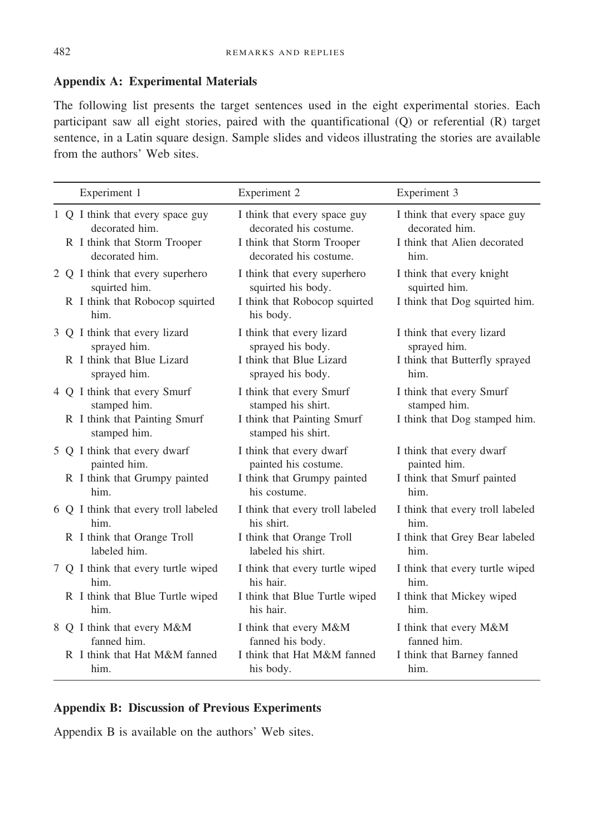## **Appendix A: Experimental Materials**

The following list presents the target sentences used in the eight experimental stories. Each participant saw all eight stories, paired with the quantificational (Q) or referential (R) target sentence, in a Latin square design. Sample slides and videos illustrating the stories are available from the authors' Web sites.

|  | Experiment 1                                                                                         | Experiment 2                                                                                                   | Experiment 3                                                                           |
|--|------------------------------------------------------------------------------------------------------|----------------------------------------------------------------------------------------------------------------|----------------------------------------------------------------------------------------|
|  | 1 Q I think that every space guy<br>decorated him.<br>R I think that Storm Trooper<br>decorated him. | I think that every space guy<br>decorated his costume.<br>I think that Storm Trooper<br>decorated his costume. | I think that every space guy<br>decorated him.<br>I think that Alien decorated<br>him. |
|  | 2 Q I think that every superhero<br>squirted him.<br>R I think that Robocop squirted                 | I think that every superhero<br>squirted his body.<br>I think that Robocop squirted                            | I think that every knight<br>squirted him.<br>I think that Dog squirted him.           |
|  | him.                                                                                                 | his body.                                                                                                      |                                                                                        |
|  | 3 Q I think that every lizard<br>sprayed him.<br>R I think that Blue Lizard                          | I think that every lizard<br>sprayed his body.<br>I think that Blue Lizard                                     | I think that every lizard<br>sprayed him.<br>I think that Butterfly sprayed            |
|  | sprayed him.                                                                                         | sprayed his body.                                                                                              | him.                                                                                   |
|  | 4 Q I think that every Smurf<br>stamped him.                                                         | I think that every Smurf<br>stamped his shirt.                                                                 | I think that every Smurf<br>stamped him.                                               |
|  | R I think that Painting Smurf<br>stamped him.                                                        | I think that Painting Smurf<br>stamped his shirt.                                                              | I think that Dog stamped him.                                                          |
|  | 5 Q I think that every dwarf<br>painted him.                                                         | I think that every dwarf<br>painted his costume.                                                               | I think that every dwarf<br>painted him.                                               |
|  | R I think that Grumpy painted<br>him.                                                                | I think that Grumpy painted<br>his costume.                                                                    | I think that Smurf painted<br>him.                                                     |
|  | 6 Q I think that every troll labeled<br>him.                                                         | I think that every troll labeled<br>his shirt.                                                                 | I think that every troll labeled<br>him.                                               |
|  | R I think that Orange Troll<br>labeled him.                                                          | I think that Orange Troll<br>labeled his shirt.                                                                | I think that Grey Bear labeled<br>him.                                                 |
|  | 7 Q I think that every turtle wiped<br>him.                                                          | I think that every turtle wiped<br>his hair.                                                                   | I think that every turtle wiped<br>him.                                                |
|  | R I think that Blue Turtle wiped<br>him.                                                             | I think that Blue Turtle wiped<br>his hair.                                                                    | I think that Mickey wiped<br>him.                                                      |
|  | 8 Q I think that every M&M<br>fanned him.                                                            | I think that every M&M<br>fanned his body.                                                                     | I think that every M&M<br>fanned him.                                                  |
|  | R I think that Hat M&M fanned<br>him.                                                                | I think that Hat M&M fanned<br>his body.                                                                       | I think that Barney fanned<br>him.                                                     |

# **Appendix B: Discussion of Previous Experiments**

Appendix B is available on the authors' Web sites.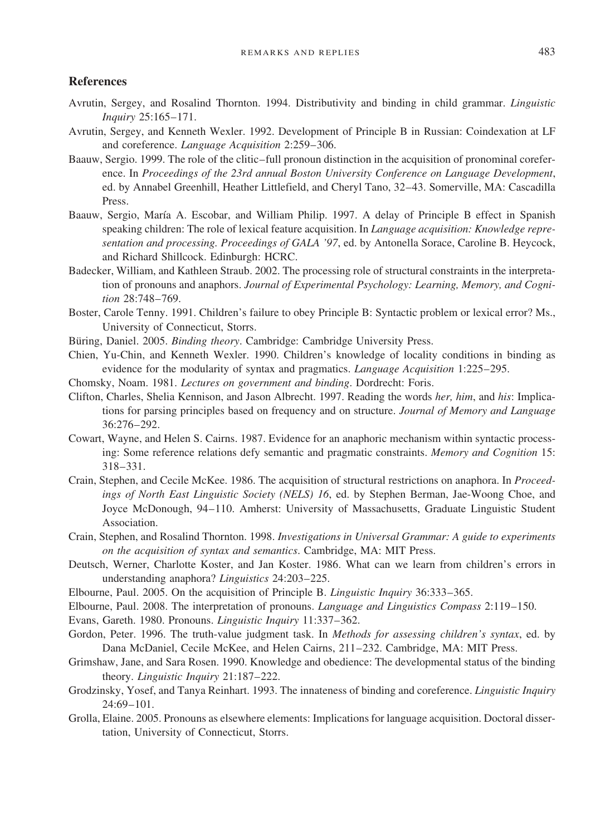# **References**

- Avrutin, Sergey, and Rosalind Thornton. 1994. Distributivity and binding in child grammar. *Linguistic Inquiry* 25:165–171.
- Avrutin, Sergey, and Kenneth Wexler. 1992. Development of Principle B in Russian: Coindexation at LF and coreference. *Language Acquisition* 2:259–306.
- Baauw, Sergio. 1999. The role of the clitic–full pronoun distinction in the acquisition of pronominal coreference. In *Proceedings of the 23rd annual Boston University Conference on Language Development*, ed. by Annabel Greenhill, Heather Littlefield, and Cheryl Tano, 32–43. Somerville, MA: Cascadilla Press.
- Baauw, Sergio, María A. Escobar, and William Philip. 1997. A delay of Principle B effect in Spanish speaking children: The role of lexical feature acquisition. In *Language acquisition: Knowledge representation and processing. Proceedings of GALA '97*, ed. by Antonella Sorace, Caroline B. Heycock, and Richard Shillcock. Edinburgh: HCRC.
- Badecker, William, and Kathleen Straub. 2002. The processing role of structural constraints in the interpretation of pronouns and anaphors. *Journal of Experimental Psychology: Learning, Memory, and Cognition* 28:748–769.
- Boster, Carole Tenny. 1991. Children's failure to obey Principle B: Syntactic problem or lexical error? Ms., University of Connecticut, Storrs.
- Büring, Daniel. 2005. *Binding theory*. Cambridge: Cambridge University Press.
- Chien, Yu-Chin, and Kenneth Wexler. 1990. Children's knowledge of locality conditions in binding as evidence for the modularity of syntax and pragmatics. *Language Acquisition* 1:225–295.
- Chomsky, Noam. 1981. *Lectures on government and binding*. Dordrecht: Foris.
- Clifton, Charles, Shelia Kennison, and Jason Albrecht. 1997. Reading the words *her, him*, and *his*: Implications for parsing principles based on frequency and on structure. *Journal of Memory and Language* 36:276–292.
- Cowart, Wayne, and Helen S. Cairns. 1987. Evidence for an anaphoric mechanism within syntactic processing: Some reference relations defy semantic and pragmatic constraints. *Memory and Cognition* 15: 318–331.
- Crain, Stephen, and Cecile McKee. 1986. The acquisition of structural restrictions on anaphora. In *Proceedings of North East Linguistic Society (NELS) 16*, ed. by Stephen Berman, Jae-Woong Choe, and Joyce McDonough, 94–110. Amherst: University of Massachusetts, Graduate Linguistic Student Association.
- Crain, Stephen, and Rosalind Thornton. 1998. *Investigations in Universal Grammar: A guide to experiments on the acquisition of syntax and semantics*. Cambridge, MA: MIT Press.
- Deutsch, Werner, Charlotte Koster, and Jan Koster. 1986. What can we learn from children's errors in understanding anaphora? *Linguistics* 24:203–225.
- Elbourne, Paul. 2005. On the acquisition of Principle B. *Linguistic Inquiry* 36:333–365.
- Elbourne, Paul. 2008. The interpretation of pronouns. *Language and Linguistics Compass* 2:119–150.

Evans, Gareth. 1980. Pronouns. *Linguistic Inquiry* 11:337–362.

- Gordon, Peter. 1996. The truth-value judgment task. In *Methods for assessing children's syntax*, ed. by Dana McDaniel, Cecile McKee, and Helen Cairns, 211–232. Cambridge, MA: MIT Press.
- Grimshaw, Jane, and Sara Rosen. 1990. Knowledge and obedience: The developmental status of the binding theory. *Linguistic Inquiry* 21:187–222.
- Grodzinsky, Yosef, and Tanya Reinhart. 1993. The innateness of binding and coreference. *Linguistic Inquiry* 24:69–101.
- Grolla, Elaine. 2005. Pronouns as elsewhere elements: Implications for language acquisition. Doctoral dissertation, University of Connecticut, Storrs.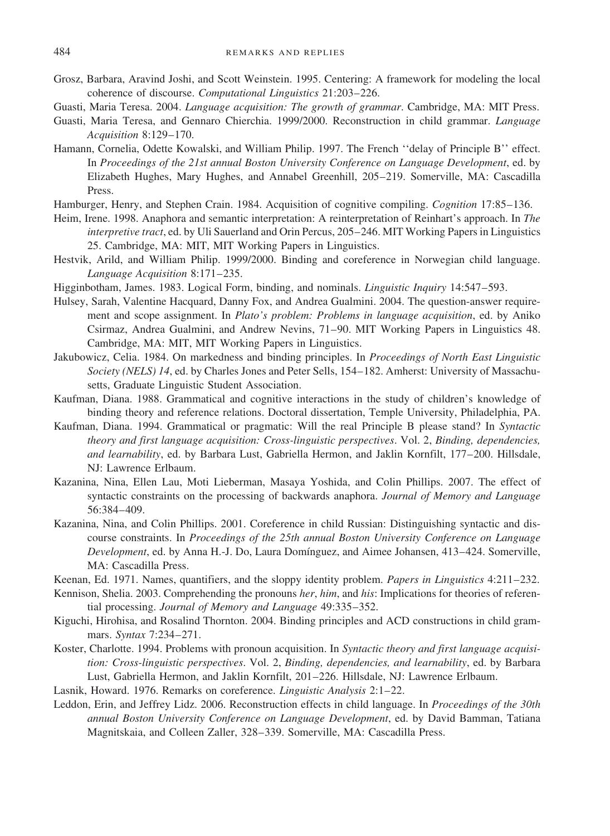- Grosz, Barbara, Aravind Joshi, and Scott Weinstein. 1995. Centering: A framework for modeling the local coherence of discourse. *Computational Linguistics* 21:203–226.
- Guasti, Maria Teresa. 2004. *Language acquisition: The growth of grammar*. Cambridge, MA: MIT Press.
- Guasti, Maria Teresa, and Gennaro Chierchia. 1999/2000. Reconstruction in child grammar. *Language Acquisition* 8:129–170.
- Hamann, Cornelia, Odette Kowalski, and William Philip. 1997. The French ''delay of Principle B'' effect. In *Proceedings of the 21st annual Boston University Conference on Language Development*, ed. by Elizabeth Hughes, Mary Hughes, and Annabel Greenhill, 205–219. Somerville, MA: Cascadilla Press.
- Hamburger, Henry, and Stephen Crain. 1984. Acquisition of cognitive compiling. *Cognition* 17:85–136.
- Heim, Irene. 1998. Anaphora and semantic interpretation: A reinterpretation of Reinhart's approach. In *The interpretive tract*, ed. by Uli Sauerland and Orin Percus, 205–246. MIT Working Papers in Linguistics 25. Cambridge, MA: MIT, MIT Working Papers in Linguistics.
- Hestvik, Arild, and William Philip. 1999/2000. Binding and coreference in Norwegian child language. *Language Acquisition* 8:171–235.
- Higginbotham, James. 1983. Logical Form, binding, and nominals. *Linguistic Inquiry* 14:547–593.
- Hulsey, Sarah, Valentine Hacquard, Danny Fox, and Andrea Gualmini. 2004. The question-answer requirement and scope assignment. In *Plato's problem: Problems in language acquisition*, ed. by Aniko Csirmaz, Andrea Gualmini, and Andrew Nevins, 71–90. MIT Working Papers in Linguistics 48. Cambridge, MA: MIT, MIT Working Papers in Linguistics.
- Jakubowicz, Celia. 1984. On markedness and binding principles. In *Proceedings of North East Linguistic Society (NELS) 14*, ed. by Charles Jones and Peter Sells, 154–182. Amherst: University of Massachusetts, Graduate Linguistic Student Association.
- Kaufman, Diana. 1988. Grammatical and cognitive interactions in the study of children's knowledge of binding theory and reference relations. Doctoral dissertation, Temple University, Philadelphia, PA.
- Kaufman, Diana. 1994. Grammatical or pragmatic: Will the real Principle B please stand? In *Syntactic theory and first language acquisition: Cross-linguistic perspectives*. Vol. 2, *Binding, dependencies, and learnability*, ed. by Barbara Lust, Gabriella Hermon, and Jaklin Kornfilt, 177–200. Hillsdale, NJ: Lawrence Erlbaum.
- Kazanina, Nina, Ellen Lau, Moti Lieberman, Masaya Yoshida, and Colin Phillips. 2007. The effect of syntactic constraints on the processing of backwards anaphora. *Journal of Memory and Language* 56:384–409.
- Kazanina, Nina, and Colin Phillips. 2001. Coreference in child Russian: Distinguishing syntactic and discourse constraints. In *Proceedings of the 25th annual Boston University Conference on Language Development*, ed. by Anna H.-J. Do, Laura Domı´nguez, and Aimee Johansen, 413–424. Somerville, MA: Cascadilla Press.
- Keenan, Ed. 1971. Names, quantifiers, and the sloppy identity problem. *Papers in Linguistics* 4:211–232.
- Kennison, Shelia. 2003. Comprehending the pronouns *her*, *him*, and *his*: Implications for theories of referential processing. *Journal of Memory and Language* 49:335–352.
- Kiguchi, Hirohisa, and Rosalind Thornton. 2004. Binding principles and ACD constructions in child grammars. *Syntax* 7:234–271.
- Koster, Charlotte. 1994. Problems with pronoun acquisition. In *Syntactic theory and first language acquisition: Cross-linguistic perspectives*. Vol. 2, *Binding, dependencies, and learnability*, ed. by Barbara Lust, Gabriella Hermon, and Jaklin Kornfilt, 201–226. Hillsdale, NJ: Lawrence Erlbaum.
- Lasnik, Howard. 1976. Remarks on coreference. *Linguistic Analysis* 2:1–22.
- Leddon, Erin, and Jeffrey Lidz. 2006. Reconstruction effects in child language. In *Proceedings of the 30th annual Boston University Conference on Language Development*, ed. by David Bamman, Tatiana Magnitskaia, and Colleen Zaller, 328–339. Somerville, MA: Cascadilla Press.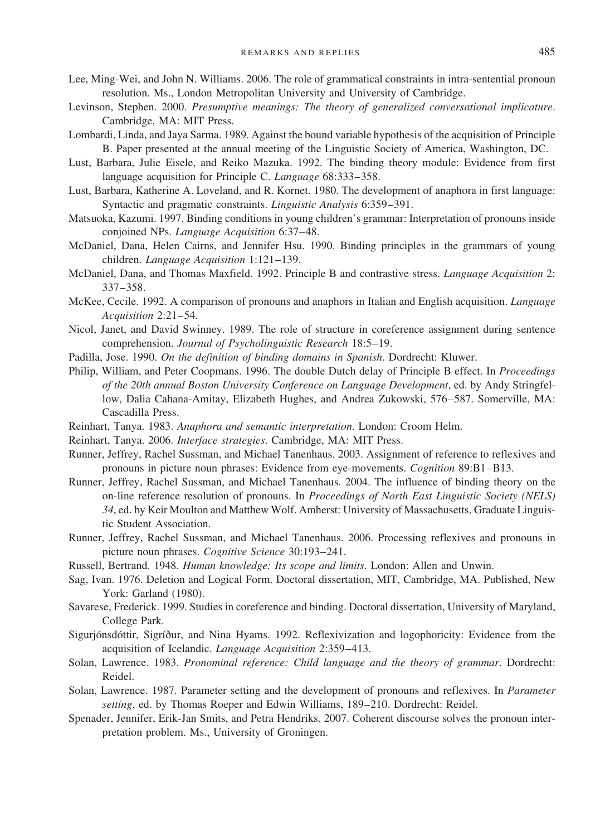- Lee, Ming-Wei, and John N. Williams. 2006. The role of grammatical constraints in intra-sentential pronoun resolution. Ms., London Metropolitan University and University of Cambridge.
- Levinson, Stephen. 2000. *Presumptive meanings: The theory of generalized conversational implicature*. Cambridge, MA: MIT Press.
- Lombardi, Linda, and Jaya Sarma. 1989. Against the bound variable hypothesis of the acquisition of Principle B. Paper presented at the annual meeting of the Linguistic Society of America, Washington, DC.
- Lust, Barbara, Julie Eisele, and Reiko Mazuka. 1992. The binding theory module: Evidence from first language acquisition for Principle C. *Language* 68:333–358.
- Lust, Barbara, Katherine A. Loveland, and R. Kornet. 1980. The development of anaphora in first language: Syntactic and pragmatic constraints. *Linguistic Analysis* 6:359–391.
- Matsuoka, Kazumi. 1997. Binding conditions in young children's grammar: Interpretation of pronouns inside conjoined NPs. *Language Acquisition* 6:37–48.
- McDaniel, Dana, Helen Cairns, and Jennifer Hsu. 1990. Binding principles in the grammars of young children. *Language Acquisition* 1:121–139.
- McDaniel, Dana, and Thomas Maxfield. 1992. Principle B and contrastive stress. *Language Acquisition* 2: 337–358.
- McKee, Cecile. 1992. A comparison of pronouns and anaphors in Italian and English acquisition. *Language Acquisition* 2:21–54.
- Nicol, Janet, and David Swinney. 1989. The role of structure in coreference assignment during sentence comprehension. *Journal of Psycholinguistic Research* 18:5–19.
- Padilla, Jose. 1990. *On the definition of binding domains in Spanish*. Dordrecht: Kluwer.
- Philip, William, and Peter Coopmans. 1996. The double Dutch delay of Principle B effect. In *Proceedings of the 20th annual Boston University Conference on Language Development*, ed. by Andy Stringfellow, Dalia Cahana-Amitay, Elizabeth Hughes, and Andrea Zukowski, 576–587. Somerville, MA: Cascadilla Press.
- Reinhart, Tanya. 1983. *Anaphora and semantic interpretation*. London: Croom Helm.
- Reinhart, Tanya. 2006. *Interface strategies*. Cambridge, MA: MIT Press.
- Runner, Jeffrey, Rachel Sussman, and Michael Tanenhaus. 2003. Assignment of reference to reflexives and pronouns in picture noun phrases: Evidence from eye-movements. *Cognition* 89:B1–B13.
- Runner, Jeffrey, Rachel Sussman, and Michael Tanenhaus. 2004. The influence of binding theory on the on-line reference resolution of pronouns. In *Proceedings of North East Linguistic Society (NELS) 34*, ed. by Keir Moulton and Matthew Wolf. Amherst: University of Massachusetts, Graduate Linguistic Student Association.
- Runner, Jeffrey, Rachel Sussman, and Michael Tanenhaus. 2006. Processing reflexives and pronouns in picture noun phrases. *Cognitive Science* 30:193–241.
- Russell, Bertrand. 1948. *Human knowledge: Its scope and limits*. London: Allen and Unwin.
- Sag, Ivan. 1976. Deletion and Logical Form. Doctoral dissertation, MIT, Cambridge, MA. Published, New York: Garland (1980).
- Savarese, Frederick. 1999. Studies in coreference and binding. Doctoral dissertation, University of Maryland, College Park.
- Sigurjónsdóttir, Sigríður, and Nina Hyams. 1992. Reflexivization and logophoricity: Evidence from the acquisition of Icelandic. *Language Acquisition* 2:359–413.
- Solan, Lawrence. 1983. *Pronominal reference: Child language and the theory of grammar*. Dordrecht: Reidel.
- Solan, Lawrence. 1987. Parameter setting and the development of pronouns and reflexives. In *Parameter setting*, ed. by Thomas Roeper and Edwin Williams, 189–210. Dordrecht: Reidel.
- Spenader, Jennifer, Erik-Jan Smits, and Petra Hendriks. 2007. Coherent discourse solves the pronoun interpretation problem. Ms., University of Groningen.